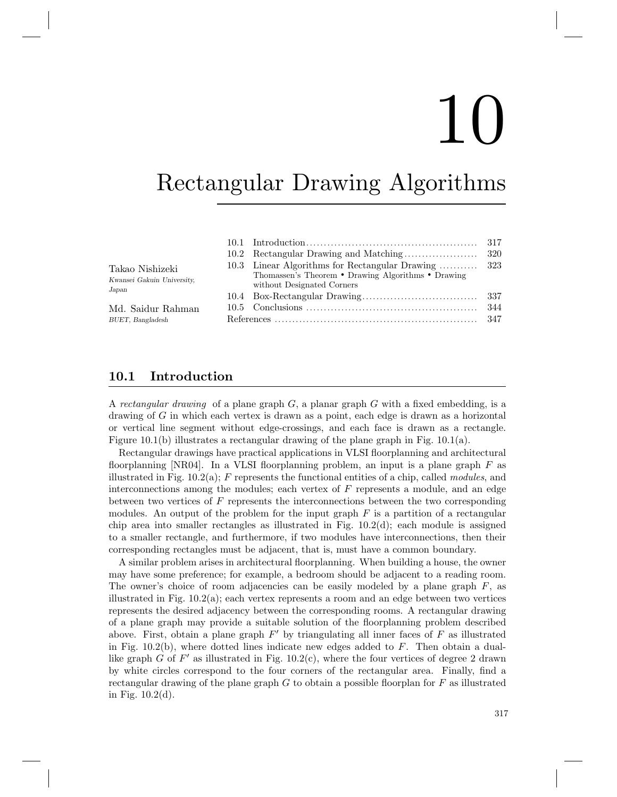# 10

## Rectangular Drawing Algorithms

| Takao Nishizeki<br>Kwansei Gakuin University,<br>Japan |  | 10.3 Linear Algorithms for Rectangular Drawing  323<br>Thomassen's Theorem • Drawing Algorithms • Drawing<br>without Designated Corners |  |
|--------------------------------------------------------|--|-----------------------------------------------------------------------------------------------------------------------------------------|--|
|                                                        |  |                                                                                                                                         |  |
| Md. Saidur Rahman                                      |  |                                                                                                                                         |  |
| BUET, Bangladesh                                       |  |                                                                                                                                         |  |

### 10.1 Introduction

A rectangular drawing of a plane graph  $G$ , a planar graph  $G$  with a fixed embedding, is a drawing of G in which each vertex is drawn as a point, each edge is drawn as a horizontal or vertical line segment without edge-crossings, and each face is drawn as a rectangle. Figure 10.1(b) illustrates a rectangular drawing of the plane graph in Fig. 10.1(a).

Rectangular drawings have practical applications in VLSI floorplanning and architectural floorplanning  $[NR04]$ . In a VLSI floorplanning problem, an input is a plane graph F as illustrated in Fig. 10.2(a); F represents the functional entities of a chip, called modules, and interconnections among the modules; each vertex of  $F$  represents a module, and an edge between two vertices of F represents the interconnections between the two corresponding modules. An output of the problem for the input graph  $F$  is a partition of a rectangular chip area into smaller rectangles as illustrated in Fig.  $10.2(d)$ ; each module is assigned to a smaller rectangle, and furthermore, if two modules have interconnections, then their corresponding rectangles must be adjacent, that is, must have a common boundary.

A similar problem arises in architectural floorplanning. When building a house, the owner may have some preference; for example, a bedroom should be adjacent to a reading room. The owner's choice of room adjacencies can be easily modeled by a plane graph  $F$ , as illustrated in Fig. 10.2(a); each vertex represents a room and an edge between two vertices represents the desired adjacency between the corresponding rooms. A rectangular drawing of a plane graph may provide a suitable solution of the floorplanning problem described above. First, obtain a plane graph  $F'$  by triangulating all inner faces of  $F$  as illustrated in Fig.  $10.2(b)$ , where dotted lines indicate new edges added to  $F$ . Then obtain a duallike graph G of  $F'$  as illustrated in Fig. 10.2(c), where the four vertices of degree 2 drawn by white circles correspond to the four corners of the rectangular area. Finally, find a rectangular drawing of the plane graph  $G$  to obtain a possible floorplan for  $F$  as illustrated in Fig. 10.2(d).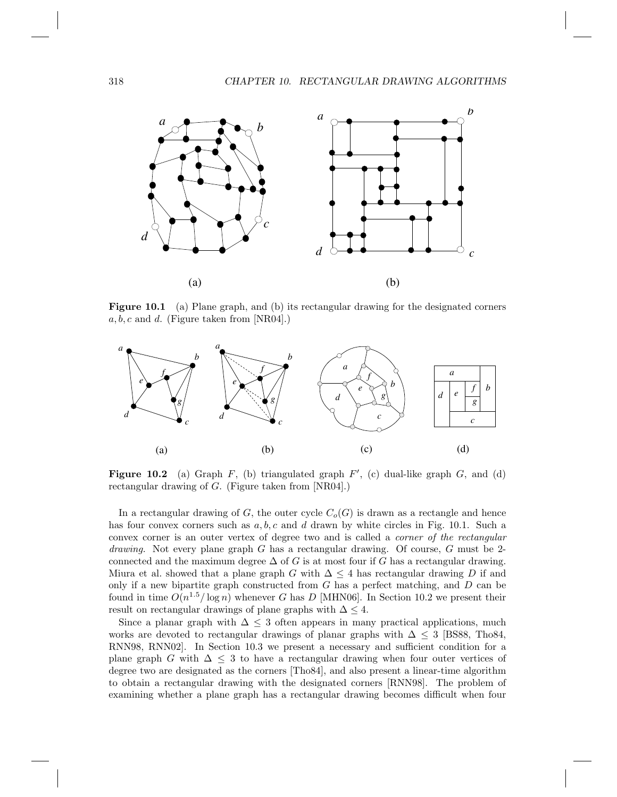#### 318 CHAPTER 10. RECTANGULAR DRAWING ALGORITHMS



Figure 10.1 (a) Plane graph, and (b) its rectangular drawing for the designated corners  $a, b, c$  and d. (Figure taken from [NR04].)



Figure 10.2 (a) Graph  $F$ , (b) triangulated graph  $F'$ , (c) dual-like graph  $G$ , and (d) rectangular drawing of G. (Figure taken from [NR04].)

In a rectangular drawing of G, the outer cycle  $C_o(G)$  is drawn as a rectangle and hence has four convex corners such as  $a, b, c$  and d drawn by white circles in Fig. 10.1. Such a convex corner is an outer vertex of degree two and is called a corner of the rectangular *drawing*. Not every plane graph G has a rectangular drawing. Of course, G must be 2connected and the maximum degree  $\Delta$  of G is at most four if G has a rectangular drawing. Miura et al. showed that a plane graph G with  $\Delta \leq 4$  has rectangular drawing D if and only if a new bipartite graph constructed from  $G$  has a perfect matching, and  $D$  can be found in time  $O(n^{1.5}/\log n)$  whenever G has D [MHN06]. In Section 10.2 we present their result on rectangular drawings of plane graphs with  $\Delta \leq 4$ .

Since a planar graph with  $\Delta \leq 3$  often appears in many practical applications, much works are devoted to rectangular drawings of planar graphs with  $\Delta \leq 3$  [BS88, Tho84, RNN98, RNN02]. In Section 10.3 we present a necessary and sufficient condition for a plane graph G with  $\Delta \leq 3$  to have a rectangular drawing when four outer vertices of degree two are designated as the corners [Tho84], and also present a linear-time algorithm to obtain a rectangular drawing with the designated corners [RNN98]. The problem of examining whether a plane graph has a rectangular drawing becomes difficult when four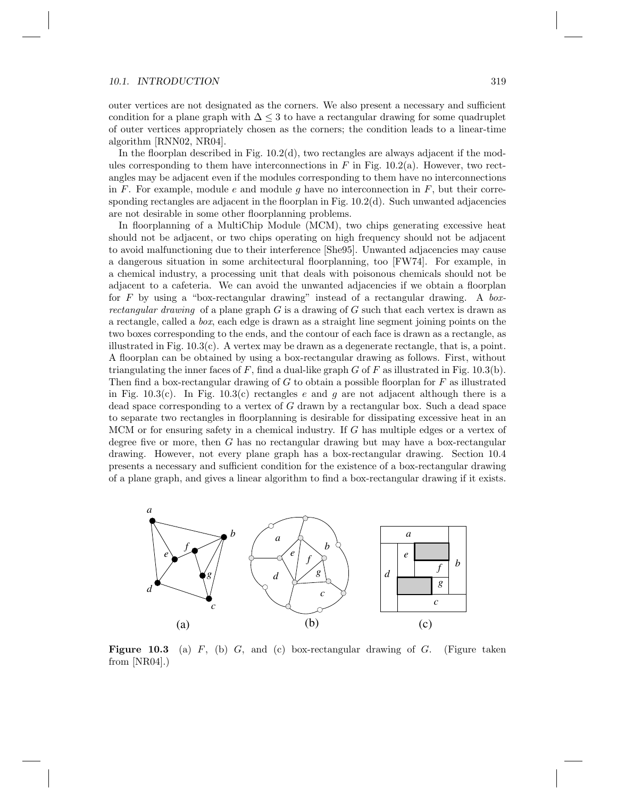#### 10.1. INTRODUCTION 319

outer vertices are not designated as the corners. We also present a necessary and sufficient condition for a plane graph with  $\Delta \leq 3$  to have a rectangular drawing for some quadruplet of outer vertices appropriately chosen as the corners; the condition leads to a linear-time algorithm [RNN02, NR04].

In the floorplan described in Fig.  $10.2(d)$ , two rectangles are always adjacent if the modules corresponding to them have interconnections in  $F$  in Fig. 10.2(a). However, two rectangles may be adjacent even if the modules corresponding to them have no interconnections in F. For example, module e and module g have no interconnection in  $F$ , but their corresponding rectangles are adjacent in the floorplan in Fig.  $10.2(d)$ . Such unwanted adjacencies are not desirable in some other floorplanning problems.

In floorplanning of a MultiChip Module (MCM), two chips generating excessive heat should not be adjacent, or two chips operating on high frequency should not be adjacent to avoid malfunctioning due to their interference [She95]. Unwanted adjacencies may cause a dangerous situation in some architectural floorplanning, too [FW74]. For example, in a chemical industry, a processing unit that deals with poisonous chemicals should not be adjacent to a cafeteria. We can avoid the unwanted adjacencies if we obtain a floorplan for  $F$  by using a "box-rectangular drawing" instead of a rectangular drawing. A boxrectangular drawing of a plane graph  $G$  is a drawing of  $G$  such that each vertex is drawn as a rectangle, called a box, each edge is drawn as a straight line segment joining points on the two boxes corresponding to the ends, and the contour of each face is drawn as a rectangle, as illustrated in Fig. 10.3(c). A vertex may be drawn as a degenerate rectangle, that is, a point. A floorplan can be obtained by using a box-rectangular drawing as follows. First, without triangulating the inner faces of  $F$ , find a dual-like graph  $G$  of  $F$  as illustrated in Fig. 10.3(b). Then find a box-rectangular drawing of  $G$  to obtain a possible floorplan for  $F$  as illustrated in Fig. 10.3(c). In Fig. 10.3(c) rectangles e and g are not adjacent although there is a dead space corresponding to a vertex of  $G$  drawn by a rectangular box. Such a dead space to separate two rectangles in floorplanning is desirable for dissipating excessive heat in an MCM or for ensuring safety in a chemical industry. If G has multiple edges or a vertex of degree five or more, then G has no rectangular drawing but may have a box-rectangular drawing. However, not every plane graph has a box-rectangular drawing. Section 10.4 presents a necessary and sufficient condition for the existence of a box-rectangular drawing of a plane graph, and gives a linear algorithm to find a box-rectangular drawing if it exists.



**Figure 10.3** (a)  $F$ , (b)  $G$ , and (c) box-rectangular drawing of  $G$ . (Figure taken from  $[NR04]$ .)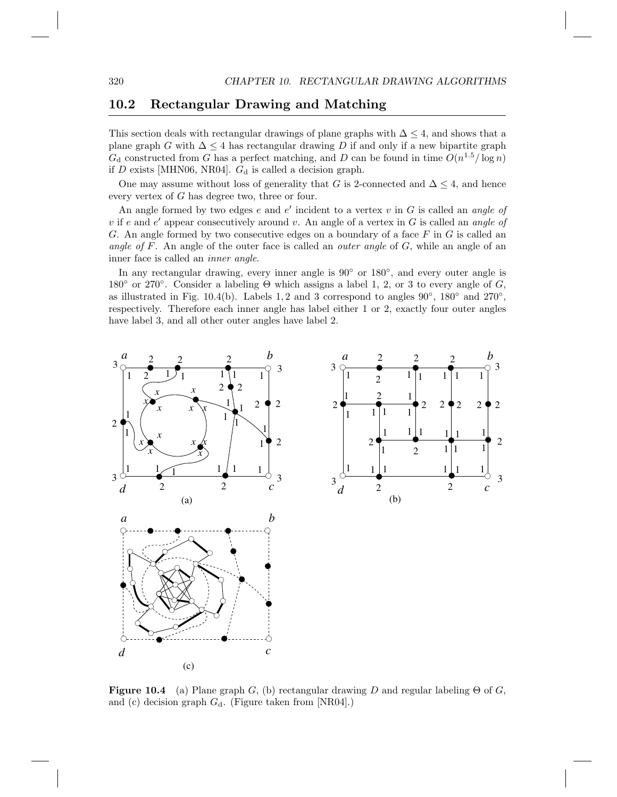### 10.2 Rectangular Drawing and Matching

This section deals with rectangular drawings of plane graphs with  $\Delta \leq 4$ , and shows that a plane graph G with  $\Delta \leq 4$  has rectangular drawing D if and only if a new bipartite graph  $G_d$  constructed from G has a perfect matching, and D can be found in time  $O(n^{1.5}/\log n)$ if D exists [MHN06, NR04].  $G_d$  is called a decision graph.

One may assume without loss of generality that G is 2-connected and  $\Delta \leq 4$ , and hence every vertex of G has degree two, three or four.

An angle formed by two edges  $e$  and  $e'$  incident to a vertex  $v$  in  $G$  is called an angle of v if e and  $e'$  appear consecutively around v. An angle of a vertex in G is called an angle of G. An angle formed by two consecutive edges on a boundary of a face  $F$  in  $G$  is called an angle of F. An angle of the outer face is called an *outer angle* of  $G$ , while an angle of an inner face is called an inner angle.

In any rectangular drawing, every inner angle is 90<sup>°</sup> or 180<sup>°</sup>, and every outer angle is 180 $\degree$  or 270 $\degree$ . Consider a labeling  $\Theta$  which assigns a label 1, 2, or 3 to every angle of G, as illustrated in Fig. 10.4(b). Labels 1, 2 and 3 correspond to angles  $90^{\circ}$ ,  $180^{\circ}$  and  $270^{\circ}$ , respectively. Therefore each inner angle has label either 1 or 2, exactly four outer angles have label 3, and all other outer angles have label 2.



**Figure 10.4** (a) Plane graph G, (b) rectangular drawing D and regular labeling  $\Theta$  of G, and (c) decision graph  $G_d$ . (Figure taken from [NR04].)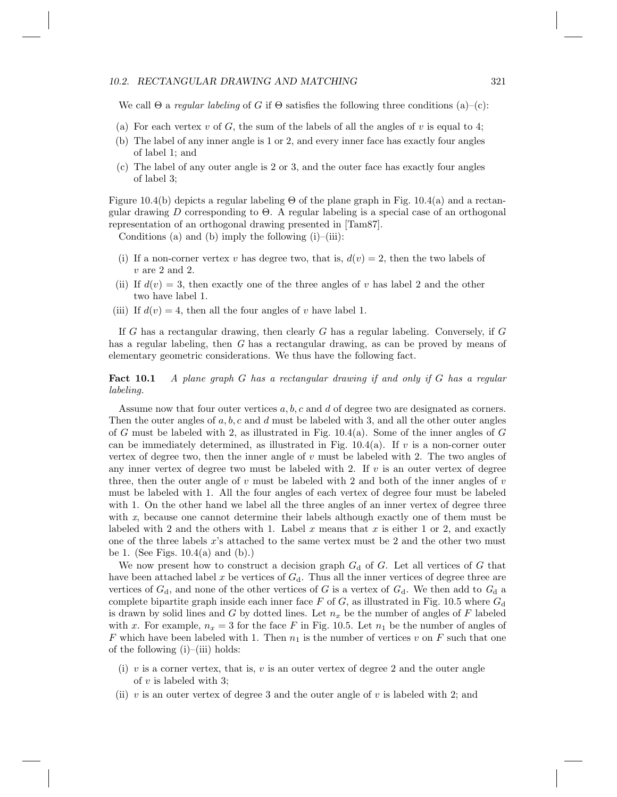#### 10.2. RECTANGULAR DRAWING AND MATCHING  $321$

We call  $\Theta$  a *regular labeling* of G if  $\Theta$  satisfies the following three conditions (a)–(c):

- (a) For each vertex v of G, the sum of the labels of all the angles of v is equal to 4;
- (b) The label of any inner angle is 1 or 2, and every inner face has exactly four angles of label 1; and
- (c) The label of any outer angle is 2 or 3, and the outer face has exactly four angles of label 3;

Figure 10.4(b) depicts a regular labeling  $\Theta$  of the plane graph in Fig. 10.4(a) and a rectangular drawing D corresponding to  $\Theta$ . A regular labeling is a special case of an orthogonal representation of an orthogonal drawing presented in [Tam87].

Conditions (a) and (b) imply the following  $(i)$ – $(iii)$ :

- (i) If a non-corner vertex v has degree two, that is,  $d(v) = 2$ , then the two labels of  $v$  are 2 and 2.
- (ii) If  $d(v) = 3$ , then exactly one of the three angles of v has label 2 and the other two have label 1.
- (iii) If  $d(v) = 4$ , then all the four angles of v have label 1.

If G has a rectangular drawing, then clearly G has a regular labeling. Conversely, if  $G$ has a regular labeling, then G has a rectangular drawing, as can be proved by means of elementary geometric considerations. We thus have the following fact.

Fact 10.1 A plane graph G has a rectangular drawing if and only if G has a regular labeling.

Assume now that four outer vertices  $a, b, c$  and d of degree two are designated as corners. Then the outer angles of  $a, b, c$  and  $d$  must be labeled with 3, and all the other outer angles of G must be labeled with 2, as illustrated in Fig.  $10.4(a)$ . Some of the inner angles of G can be immediately determined, as illustrated in Fig. 10.4(a). If v is a non-corner outer vertex of degree two, then the inner angle of  $v$  must be labeled with 2. The two angles of any inner vertex of degree two must be labeled with 2. If  $v$  is an outer vertex of degree three, then the outer angle of v must be labeled with 2 and both of the inner angles of  $v$ must be labeled with 1. All the four angles of each vertex of degree four must be labeled with 1. On the other hand we label all the three angles of an inner vertex of degree three with x, because one cannot determine their labels although exactly one of them must be labeled with 2 and the others with 1. Label x means that x is either 1 or 2, and exactly one of the three labels x's attached to the same vertex must be 2 and the other two must be 1. (See Figs.  $10.4(a)$  and  $(b)$ .)

We now present how to construct a decision graph  $G_d$  of G. Let all vertices of G that have been attached label x be vertices of  $G_d$ . Thus all the inner vertices of degree three are vertices of  $G_d$ , and none of the other vertices of G is a vertex of  $G_d$ . We then add to  $G_d$  a complete bipartite graph inside each inner face F of G, as illustrated in Fig. 10.5 where  $G_d$ is drawn by solid lines and G by dotted lines. Let  $n_x$  be the number of angles of F labeled with x. For example,  $n_x = 3$  for the face F in Fig. 10.5. Let  $n_1$  be the number of angles of F which have been labeled with 1. Then  $n_1$  is the number of vertices v on F such that one of the following  $(i)$ – $(iii)$  holds:

- (i) v is a corner vertex, that is, v is an outer vertex of degree 2 and the outer angle of  $v$  is labeled with 3;
- (ii) v is an outer vertex of degree 3 and the outer angle of v is labeled with 2; and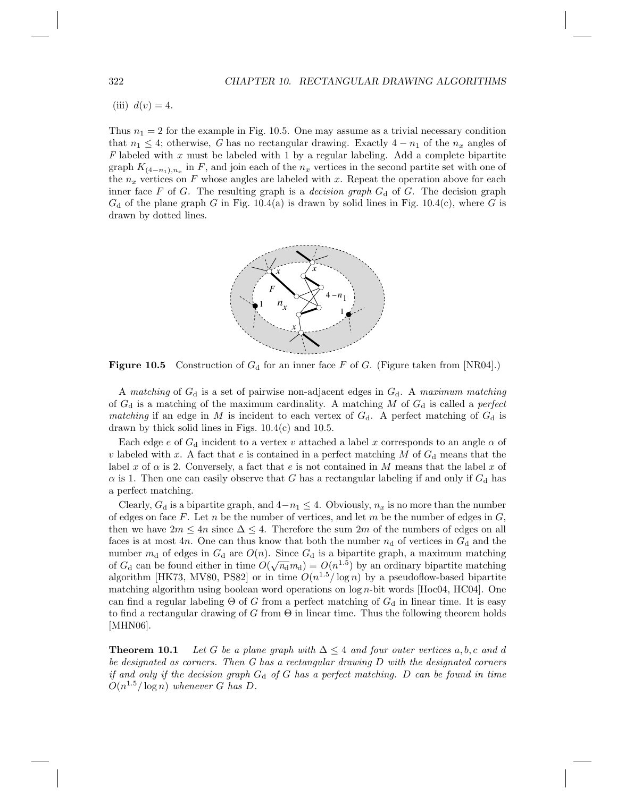(iii)  $d(v) = 4$ .

Thus  $n_1 = 2$  for the example in Fig. 10.5. One may assume as a trivial necessary condition that  $n_1 \leq 4$ ; otherwise, G has no rectangular drawing. Exactly  $4 - n_1$  of the  $n_x$  angles of F labeled with x must be labeled with 1 by a regular labeling. Add a complete bipartite graph  $K_{(4-n_1),n_x}$  in F, and join each of the  $n_x$  vertices in the second partite set with one of the  $n_x$  vertices on F whose angles are labeled with x. Repeat the operation above for each inner face F of G. The resulting graph is a *decision graph*  $G_d$  of G. The decision graph  $G_d$  of the plane graph G in Fig. 10.4(a) is drawn by solid lines in Fig. 10.4(c), where G is drawn by dotted lines.



**Figure 10.5** Construction of  $G_d$  for an inner face F of G. (Figure taken from [NR04].)

A matching of  $G_d$  is a set of pairwise non-adjacent edges in  $G_d$ . A maximum matching of  $G_d$  is a matching of the maximum cardinality. A matching M of  $G_d$  is called a perfect matching if an edge in M is incident to each vertex of  $G_d$ . A perfect matching of  $G_d$  is drawn by thick solid lines in Figs.  $10.4(c)$  and  $10.5$ .

Each edge e of  $G_d$  incident to a vertex v attached a label x corresponds to an angle  $\alpha$  of v labeled with x. A fact that e is contained in a perfect matching M of  $G_d$  means that the label x of  $\alpha$  is 2. Conversely, a fact that e is not contained in M means that the label x of  $\alpha$  is 1. Then one can easily observe that G has a rectangular labeling if and only if  $G_d$  has a perfect matching.

Clearly,  $G_d$  is a bipartite graph, and  $4-n_1 \leq 4$ . Obviously,  $n_x$  is no more than the number of edges on face F. Let n be the number of vertices, and let m be the number of edges in  $G$ , then we have  $2m \leq 4n$  since  $\Delta \leq 4$ . Therefore the sum  $2m$  of the numbers of edges on all faces is at most 4n. One can thus know that both the number  $n_d$  of vertices in  $G_d$  and the number  $m_d$  of edges in  $G_d$  are  $O(n)$ . Since  $G_d$  is a bipartite graph, a maximum matching manner  $m_d$  or eages in  $G_d$  are  $O(n)$ . Since  $G_d$  is a ordinary a maximum matching of  $G_d$  can be found either in time  $O(\sqrt{n_d}m_d) = O(n^{1.5})$  by an ordinary bipartite matching algorithm [HK73, MV80, PS82] or in time  $O(n^{1.5}/\log n)$  by a pseudoflow-based bipartite matching algorithm using boolean word operations on log n-bit words [Hoc04, HC04]. One can find a regular labeling  $\Theta$  of G from a perfect matching of  $G_d$  in linear time. It is easy to find a rectangular drawing of G from  $\Theta$  in linear time. Thus the following theorem holds [MHN06].

**Theorem 10.1** Let G be a plane graph with  $\Delta \leq 4$  and four outer vertices a, b, c and d be designated as corners. Then  $G$  has a rectangular drawing  $D$  with the designated corners if and only if the decision graph  $G_d$  of G has a perfect matching. D can be found in time  $O(n^{1.5}/\log n)$  whenever G has D.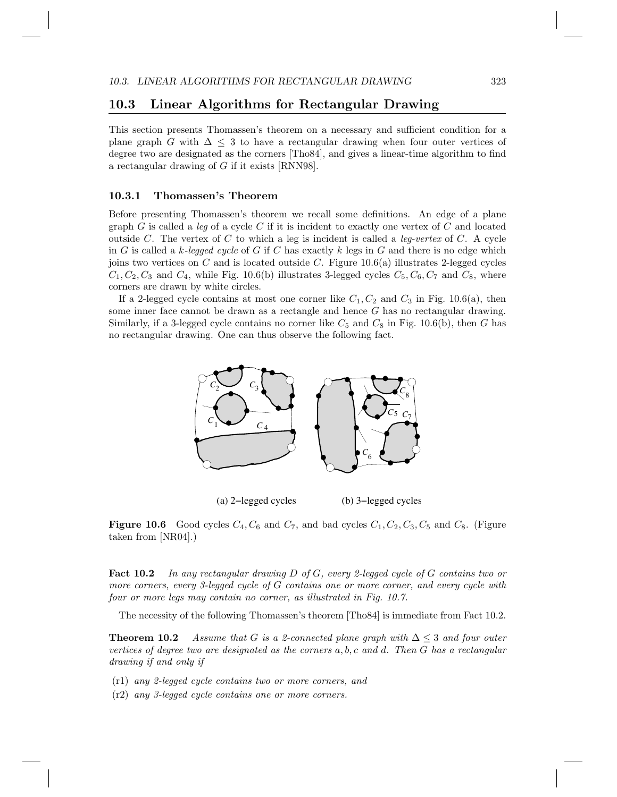### 10.3 Linear Algorithms for Rectangular Drawing

This section presents Thomassen's theorem on a necessary and sufficient condition for a plane graph G with  $\Delta \leq 3$  to have a rectangular drawing when four outer vertices of degree two are designated as the corners [Tho84], and gives a linear-time algorithm to find a rectangular drawing of G if it exists [RNN98].

#### 10.3.1 Thomassen's Theorem

Before presenting Thomassen's theorem we recall some definitions. An edge of a plane graph  $G$  is called a leg of a cycle  $C$  if it is incident to exactly one vertex of  $C$  and located outside C. The vertex of C to which a leg is incident is called a *leg-vertex* of C. A cycle in G is called a k-legged cycle of G if C has exactly k legs in G and there is no edge which joins two vertices on C and is located outside C. Figure  $10.6(a)$  illustrates 2-legged cycles  $C_1, C_2, C_3$  and  $C_4$ , while Fig. 10.6(b) illustrates 3-legged cycles  $C_5, C_6, C_7$  and  $C_8$ , where corners are drawn by white circles.

If a 2-legged cycle contains at most one corner like  $C_1, C_2$  and  $C_3$  in Fig. 10.6(a), then some inner face cannot be drawn as a rectangle and hence G has no rectangular drawing. Similarly, if a 3-legged cycle contains no corner like  $C_5$  and  $C_8$  in Fig. 10.6(b), then G has no rectangular drawing. One can thus observe the following fact.



(a) 2−legged cycles (b) 3−legged cycles

**Figure 10.6** Good cycles  $C_4$ ,  $C_6$  and  $C_7$ , and bad cycles  $C_1$ ,  $C_2$ ,  $C_3$ ,  $C_5$  and  $C_8$ . (Figure taken from [NR04].)

Fact 10.2 In any rectangular drawing D of G, every 2-legged cycle of G contains two or more corners, every 3-legged cycle of G contains one or more corner, and every cycle with four or more legs may contain no corner, as illustrated in Fig. 10.7.

The necessity of the following Thomassen's theorem [Tho84] is immediate from Fact 10.2.

**Theorem 10.2** Assume that G is a 2-connected plane graph with  $\Delta \leq 3$  and four outer vertices of degree two are designated as the corners a, b, c and d. Then G has a rectangular drawing if and only if

- (r1) any 2-legged cycle contains two or more corners, and
- (r2) any 3-legged cycle contains one or more corners.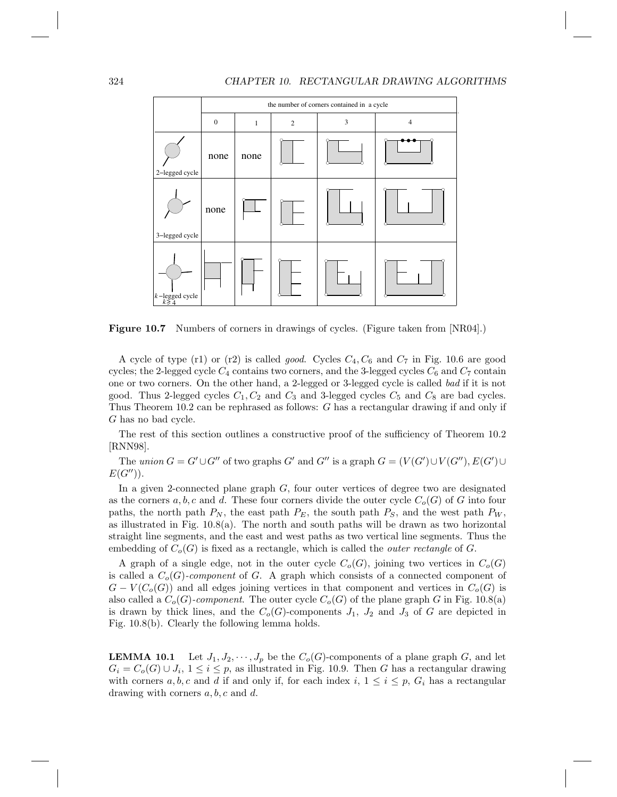#### 324 CHAPTER 10. RECTANGULAR DRAWING ALGORITHMS



Figure 10.7 Numbers of corners in drawings of cycles. (Figure taken from [NR04].)

A cycle of type (r1) or (r2) is called *good.* Cycles  $C_4$ ,  $C_6$  and  $C_7$  in Fig. 10.6 are good cycles; the 2-legged cycle  $C_4$  contains two corners, and the 3-legged cycles  $C_6$  and  $C_7$  contain one or two corners. On the other hand, a 2-legged or 3-legged cycle is called bad if it is not good. Thus 2-legged cycles  $C_1, C_2$  and  $C_3$  and 3-legged cycles  $C_5$  and  $C_8$  are bad cycles. Thus Theorem 10.2 can be rephrased as follows: G has a rectangular drawing if and only if G has no bad cycle.

The rest of this section outlines a constructive proof of the sufficiency of Theorem 10.2 [RNN98].

The union  $G = G' \cup G''$  of two graphs G' and G'' is a graph  $G = (V(G') \cup V(G''), E(G') \cup$  $E(G'')$ ).

In a given 2-connected plane graph G, four outer vertices of degree two are designated as the corners a, b, c and d. These four corners divide the outer cycle  $C_o(G)$  of G into four paths, the north path  $P_N$ , the east path  $P_E$ , the south path  $P_S$ , and the west path  $P_W$ , as illustrated in Fig.  $10.8(a)$ . The north and south paths will be drawn as two horizontal straight line segments, and the east and west paths as two vertical line segments. Thus the embedding of  $C_o(G)$  is fixed as a rectangle, which is called the *outer rectangle* of G.

A graph of a single edge, not in the outer cycle  $C_o(G)$ , joining two vertices in  $C_o(G)$ is called a  $C_o(G)$ -component of G. A graph which consists of a connected component of  $G - V(C<sub>o</sub>(G))$  and all edges joining vertices in that component and vertices in  $C<sub>o</sub>(G)$  is also called a  $C_o(G)$ -component. The outer cycle  $C_o(G)$  of the plane graph G in Fig. 10.8(a) is drawn by thick lines, and the  $C_o(G)$ -components  $J_1$ ,  $J_2$  and  $J_3$  of G are depicted in Fig. 10.8(b). Clearly the following lemma holds.

**LEMMA 10.1** Let  $J_1, J_2, \dots, J_p$  be the  $C_o(G)$ -components of a plane graph G, and let  $G_i = C_o(G) \cup J_i$ ,  $1 \leq i \leq p$ , as illustrated in Fig. 10.9. Then G has a rectangular drawing with corners a, b, c and d if and only if, for each index i,  $1 \leq i \leq p$ ,  $G_i$  has a rectangular drawing with corners  $a, b, c$  and  $d$ .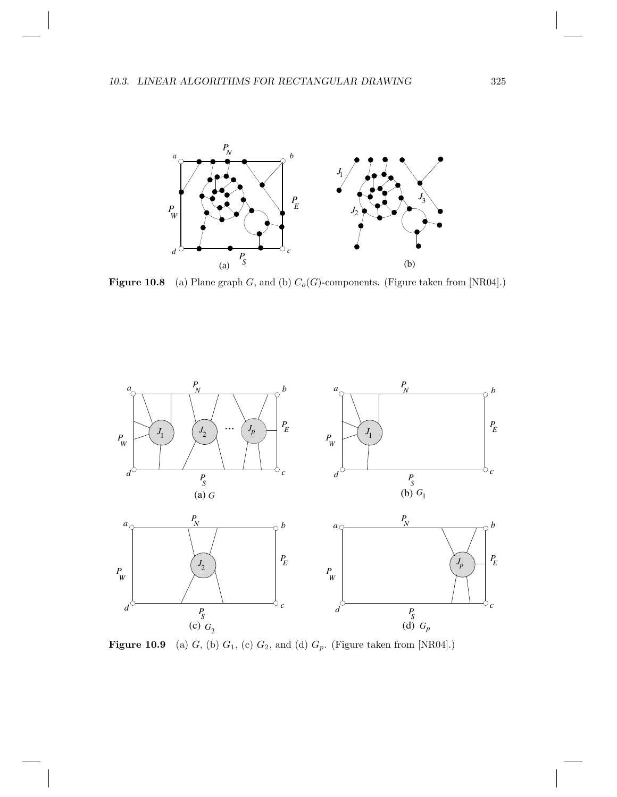

Figure 10.8 (a) Plane graph G, and (b)  $C_o(G)$ -components. (Figure taken from [NR04].)



**Figure 10.9** (a)  $G$ , (b)  $G_1$ , (c)  $G_2$ , and (d)  $G_p$ . (Figure taken from [NR04].)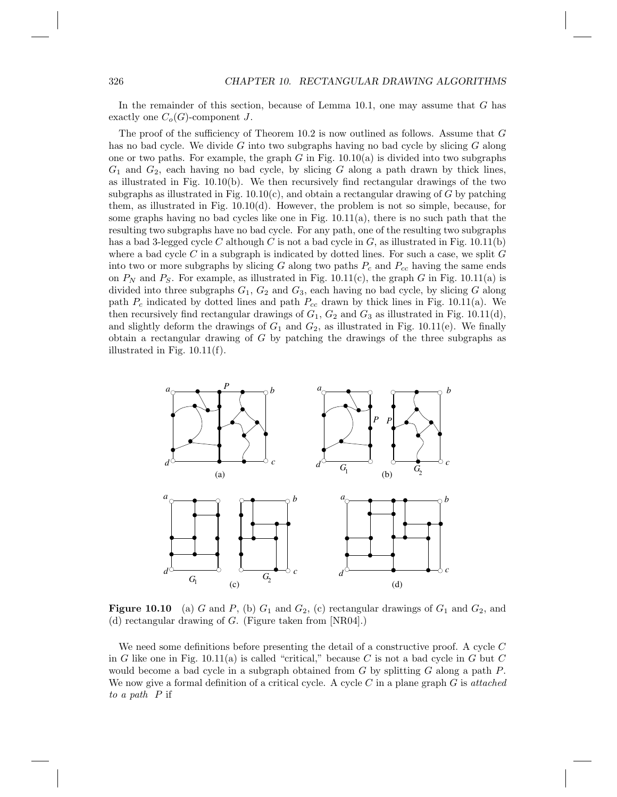In the remainder of this section, because of Lemma 10.1, one may assume that G has exactly one  $C_o(G)$ -component J.

The proof of the sufficiency of Theorem 10.2 is now outlined as follows. Assume that G has no bad cycle. We divide G into two subgraphs having no bad cycle by slicing  $G$  along one or two paths. For example, the graph G in Fig.  $10.10(a)$  is divided into two subgraphs  $G_1$  and  $G_2$ , each having no bad cycle, by slicing G along a path drawn by thick lines, as illustrated in Fig. 10.10(b). We then recursively find rectangular drawings of the two subgraphs as illustrated in Fig.  $10.10(c)$ , and obtain a rectangular drawing of G by patching them, as illustrated in Fig. 10.10(d). However, the problem is not so simple, because, for some graphs having no bad cycles like one in Fig. 10.11(a), there is no such path that the resulting two subgraphs have no bad cycle. For any path, one of the resulting two subgraphs has a bad 3-legged cycle C although C is not a bad cycle in G, as illustrated in Fig. 10.11(b) where a bad cycle  $C$  in a subgraph is indicated by dotted lines. For such a case, we split  $G$ into two or more subgraphs by slicing G along two paths  $P_c$  and  $P_{cc}$  having the same ends on  $P_N$  and  $P_S$ . For example, as illustrated in Fig. 10.11(c), the graph G in Fig. 10.11(a) is divided into three subgraphs  $G_1, G_2$  and  $G_3$ , each having no bad cycle, by slicing G along path  $P_c$  indicated by dotted lines and path  $P_{cc}$  drawn by thick lines in Fig. 10.11(a). We then recursively find rectangular drawings of  $G_1$ ,  $G_2$  and  $G_3$  as illustrated in Fig. 10.11(d), and slightly deform the drawings of  $G_1$  and  $G_2$ , as illustrated in Fig. 10.11(e). We finally obtain a rectangular drawing of G by patching the drawings of the three subgraphs as illustrated in Fig. 10.11(f).



**Figure 10.10** (a) G and P, (b)  $G_1$  and  $G_2$ , (c) rectangular drawings of  $G_1$  and  $G_2$ , and (d) rectangular drawing of G. (Figure taken from [NR04].)

We need some definitions before presenting the detail of a constructive proof. A cycle C in G like one in Fig.  $10.11(a)$  is called "critical," because C is not a bad cycle in G but C would become a bad cycle in a subgraph obtained from  $G$  by splitting  $G$  along a path  $P$ . We now give a formal definition of a critical cycle. A cycle C in a plane graph  $G$  is attached to a path P if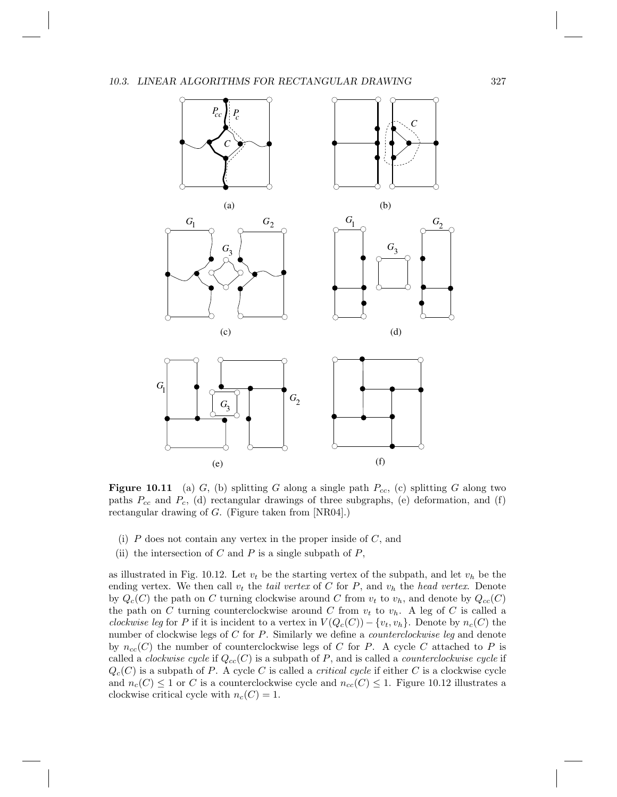#### 10.3. LINEAR ALGORITHMS FOR RECTANGULAR DRAWING  $327$



**Figure 10.11** (a) G, (b) splitting G along a single path  $P_{cc}$ , (c) splitting G along two paths  $P_{cc}$  and  $P_c$ , (d) rectangular drawings of three subgraphs, (e) deformation, and (f) rectangular drawing of G. (Figure taken from [NR04].)

- (i)  $P$  does not contain any vertex in the proper inside of  $C$ , and
- (ii) the intersection of  $C$  and  $P$  is a single subpath of  $P$ ,

as illustrated in Fig. 10.12. Let  $v_t$  be the starting vertex of the subpath, and let  $v_h$  be the ending vertex. We then call  $v_t$  the tail vertex of C for P, and  $v_h$  the head vertex. Denote by  $Q_c(C)$  the path on C turning clockwise around C from  $v_t$  to  $v_h$ , and denote by  $Q_{cc}(C)$ the path on C turning counterclockwise around C from  $v_t$  to  $v_h$ . A leg of C is called a clockwise leg for P if it is incident to a vertex in  $V(Q<sub>c</sub>(C)) - \{v_t, v_h\}$ . Denote by  $n_c(C)$  the number of clockwise legs of C for P. Similarly we define a *counterclockwise leg* and denote by  $n_{cc}(C)$  the number of counterclockwise legs of C for P. A cycle C attached to P is called a *clockwise cycle* if  $Q_{cc}(C)$  is a subpath of P, and is called a *counterclockwise cycle* if  $Q_c(C)$  is a subpath of P. A cycle C is called a *critical cycle* if either C is a clockwise cycle and  $n_c(C) \leq 1$  or C is a counterclockwise cycle and  $n_{cc}(C) \leq 1$ . Figure 10.12 illustrates a clockwise critical cycle with  $n_c(C) = 1$ .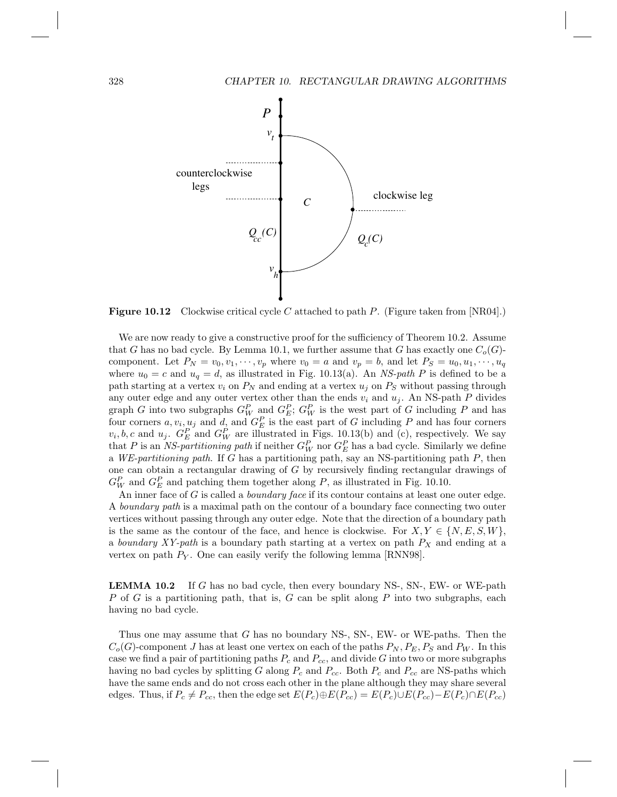

**Figure 10.12** Clockwise critical cycle C attached to path P. (Figure taken from  $[NR04]$ .)

We are now ready to give a constructive proof for the sufficiency of Theorem 10.2. Assume that G has no bad cycle. By Lemma 10.1, we further assume that G has exactly one  $C_o(G)$ component. Let  $P_N = v_0, v_1, \dots, v_p$  where  $v_0 = a$  and  $v_p = b$ , and let  $P_S = u_0, u_1, \dots, u_q$ where  $u_0 = c$  and  $u_q = d$ , as illustrated in Fig. 10.13(a). An NS-path P is defined to be a path starting at a vertex  $v_i$  on  $P_N$  and ending at a vertex  $u_j$  on  $P_S$  without passing through any outer edge and any outer vertex other than the ends  $v_i$  and  $u_j$ . An NS-path P divides graph G into two subgraphs  $G_W^P$  and  $G_E^P$ ;  $G_W^P$  is the west part of G including P and has four corners  $a, v_i, u_j$  and  $d$ , and  $G_E^P$  is the east part of G including P and has four corners  $v_i, b, c$  and  $u_j$ .  $G_E^P$  and  $G_W^P$  are illustrated in Figs. 10.13(b) and (c), respectively. We say that P is an NS-partitioning path if neither  $G_W^P$  nor  $G_E^P$  has a bad cycle. Similarly we define a WE-partitioning path. If G has a partitioning path, say an NS-partitioning path  $P$ , then one can obtain a rectangular drawing of G by recursively finding rectangular drawings of  $G_W^P$  and  $G_E^P$  and patching them together along P, as illustrated in Fig. 10.10.

An inner face of  $G$  is called a *boundary face* if its contour contains at least one outer edge. A boundary path is a maximal path on the contour of a boundary face connecting two outer vertices without passing through any outer edge. Note that the direction of a boundary path is the same as the contour of the face, and hence is clockwise. For  $X, Y \in \{N, E, S, W\}$ , a boundary  $XY$ -path is a boundary path starting at a vertex on path  $P_X$  and ending at a vertex on path  $P_Y$ . One can easily verify the following lemma [RNN98].

LEMMA 10.2 If G has no bad cycle, then every boundary NS-, SN-, EW- or WE-path P of G is a partitioning path, that is, G can be split along P into two subgraphs, each having no bad cycle.

Thus one may assume that G has no boundary NS-, SN-, EW- or WE-paths. Then the  $C_o(G)$ -component J has at least one vertex on each of the paths  $P_N, P_E, P_S$  and  $P_W$ . In this case we find a pair of partitioning paths  $P_c$  and  $P_{cc}$ , and divide G into two or more subgraphs having no bad cycles by splitting G along  $P_c$  and  $P_{cc}$ . Both  $P_c$  and  $P_{cc}$  are NS-paths which have the same ends and do not cross each other in the plane although they may share several edges. Thus, if  $P_c \neq P_{cc}$ , then the edge set  $E(P_c) \oplus E(P_{cc}) = E(P_c) \cup E(P_{cc}) - E(P_c) \cap E(P_{cc})$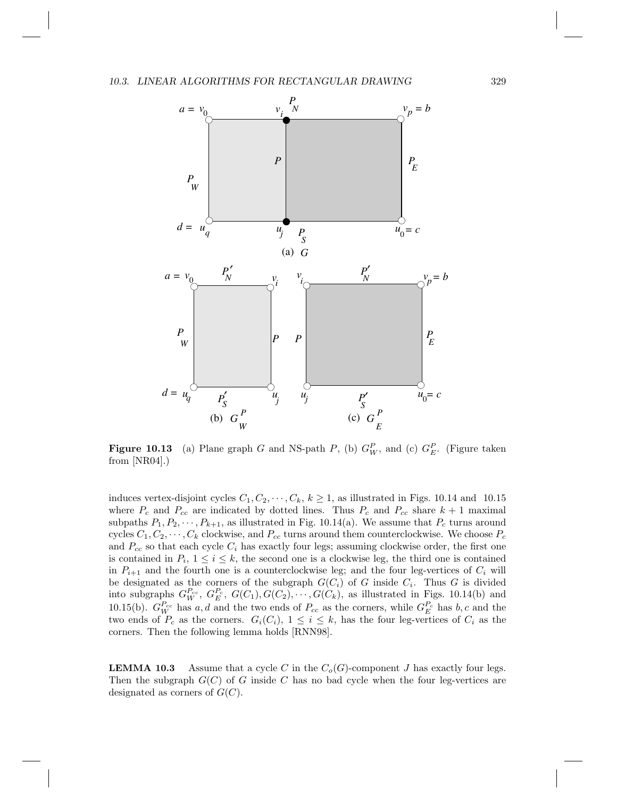

**Figure 10.13** (a) Plane graph G and NS-path P, (b)  $G_W^P$ , and (c)  $G_E^P$ . (Figure taken from [NR04].)

induces vertex-disjoint cycles  $C_1, C_2, \dots, C_k, k \ge 1$ , as illustrated in Figs. 10.14 and 10.15 where  $P_c$  and  $P_{cc}$  are indicated by dotted lines. Thus  $P_c$  and  $P_{cc}$  share  $k+1$  maximal subpaths  $P_1, P_2, \cdots, P_{k+1}$ , as illustrated in Fig. 10.14(a). We assume that  $P_c$  turns around cycles  $C_1, C_2, \cdots, C_k$  clockwise, and  $P_{cc}$  turns around them counterclockwise. We choose  $P_c$ and  $P_{cc}$  so that each cycle  $C_i$  has exactly four legs; assuming clockwise order, the first one is contained in  $P_i$ ,  $1 \leq i \leq k$ , the second one is a clockwise leg, the third one is contained in  $P_{i+1}$  and the fourth one is a counterclockwise leg; and the four leg-vertices of  $C_i$  will be designated as the corners of the subgraph  $G(C_i)$  of G inside  $C_i$ . Thus G is divided into subgraphs  $G_{W}^{P_{cc}}, G_{E}^{P_{c}}, G(C_1), G(C_2), \cdots, G(C_k)$ , as illustrated in Figs. 10.14(b) and 10.15(b).  $G_W^{P_{cc}}$  has a, d and the two ends of  $P_{cc}$  as the corners, while  $G_E^{P_c}$  has b, c and the two ends of  $P_c$  as the corners.  $G_i(C_i)$ ,  $1 \leq i \leq k$ , has the four leg-vertices of  $C_i$  as the corners. Then the following lemma holds [RNN98].

**LEMMA 10.3** Assume that a cycle C in the  $C_o(G)$ -component J has exactly four legs. Then the subgraph  $G(C)$  of G inside C has no bad cycle when the four leg-vertices are designated as corners of  $G(C)$ .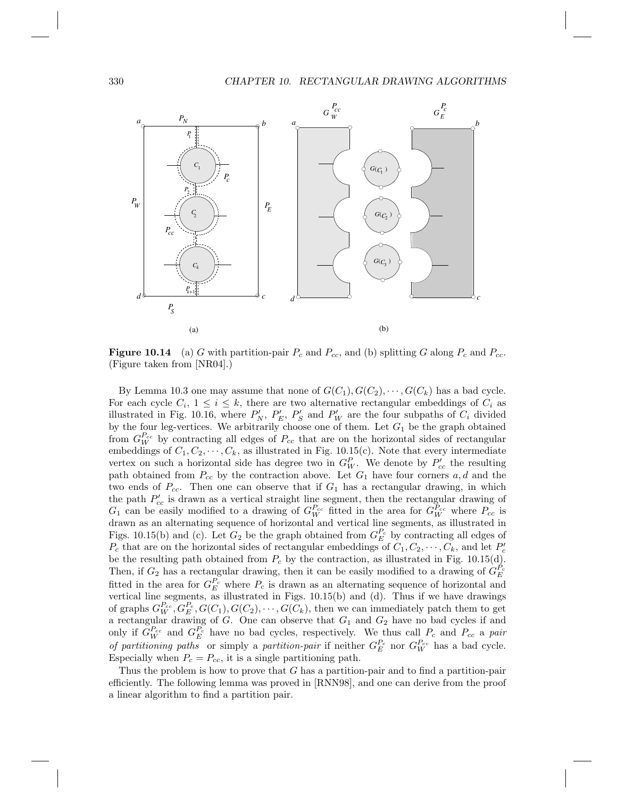#### 330 CHAPTER 10. RECTANGULAR DRAWING ALGORITHMS



**Figure 10.14** (a) G with partition-pair  $P_c$  and  $P_{cc}$ , and (b) splitting G along  $P_c$  and  $P_{cc}$ . (Figure taken from [NR04].)

By Lemma 10.3 one may assume that none of  $G(C_1), G(C_2), \cdots, G(C_k)$  has a bad cycle. For each cycle  $C_i$ ,  $1 \leq i \leq k$ , there are two alternative rectangular embeddings of  $C_i$  as illustrated in Fig. 10.16, where  $P'_N$ ,  $P'_E$ ,  $P'_S$  and  $P'_W$  are the four subpaths of  $C_i$  divided by the four leg-vertices. We arbitrarily choose one of them. Let  $G_1$  be the graph obtained from  $G_W^{P_{cc}}$  by contracting all edges of  $P_{cc}$  that are on the horizontal sides of rectangular embeddings of  $C_1, C_2, \dots, C_k$ , as illustrated in Fig. 10.15(c). Note that every intermediate vertex on such a horizontal side has degree two in  $G_W^P$ . We denote by  $P'_{cc}$  the resulting path obtained from  $P_{cc}$  by the contraction above. Let  $G_1$  have four corners  $a, d$  and the two ends of  $P_{cc}$ . Then one can observe that if  $G_1$  has a rectangular drawing, in which the path  $P_{cc}$  is drawn as a vertical straight line segment, then the rectangular drawing of  $G_1$  can be easily modified to a drawing of  $G_W^{P_{cc}}$  fitted in the area for  $G_W^{P_{cc}}$  where  $P_{cc}$  is drawn as an alternating sequence of horizontal and vertical line segments, as illustrated in Figs. 10.15(b) and (c). Let  $G_2$  be the graph obtained from  $G_E^{P_c}$  by contracting all edges of  $P_c$  that are on the horizontal sides of rectangular embeddings of  $C_1, C_2, \cdots, C_k$ , and let  $P'_c$ be the resulting path obtained from  $P_c$  by the contraction, as illustrated in Fig. 10.15(d). Then, if  $G_2$  has a rectangular drawing, then it can be easily modified to a drawing of  $G_E^{P_c}$ fitted in the area for  $G_E^{P_c}$  where  $P_c$  is drawn as an alternating sequence of horizontal and vertical line segments, as illustrated in Figs. 10.15(b) and (d). Thus if we have drawings of graphs  $G_W^{P_{cc}}, G_E^{P_c}, G(C_1), G(C_2), \cdots, G(C_k)$ , then we can immediately patch them to get a rectangular drawing of G. One can observe that  $G_1$  and  $G_2$  have no bad cycles if and only if  $G_W^{P_{cc}}$  and  $G_E^{P_c}$  have no bad cycles, respectively. We thus call  $P_c$  and  $P_{cc}$  a pair of partitioning paths or simply a partition-pair if neither  $G_E^{P_c}$  nor  $G_W^{P_{cc}}$  has a bad cycle. Especially when  $P_c = P_{cc}$ , it is a single partitioning path.

Thus the problem is how to prove that G has a partition-pair and to find a partition-pair efficiently. The following lemma was proved in [RNN98], and one can derive from the proof a linear algorithm to find a partition pair.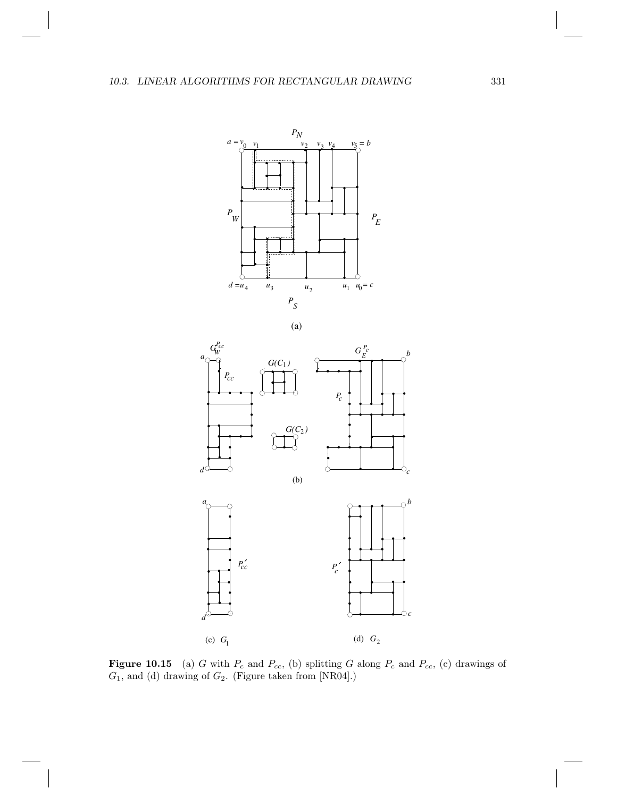

(a)





**Figure 10.15** (a) G with  $P_c$  and  $P_{cc}$ , (b) splitting G along  $P_c$  and  $P_{cc}$ , (c) drawings of  $G_1$ , and (d) drawing of  $G_2$ . (Figure taken from [NR04].)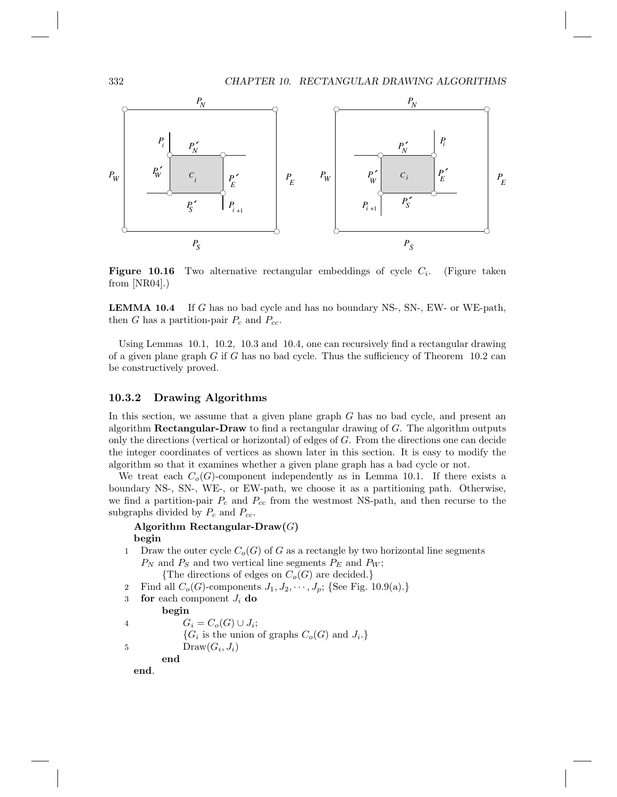332 CHAPTER 10. RECTANGULAR DRAWING ALGORITHMS



**Figure 10.16** Two alternative rectangular embeddings of cycle  $C_i$ . . (Figure taken from  $[NR04]$ .)

LEMMA 10.4 If G has no bad cycle and has no boundary NS-, SN-, EW- or WE-path, then G has a partition-pair  $P_c$  and  $P_{cc}$ .

Using Lemmas 10.1, 10.2, 10.3 and 10.4, one can recursively find a rectangular drawing of a given plane graph G if G has no bad cycle. Thus the sufficiency of Theorem  $10.2$  can be constructively proved.

#### 10.3.2 Drawing Algorithms

In this section, we assume that a given plane graph G has no bad cycle, and present an algorithm **Rectangular-Draw** to find a rectangular drawing of  $G$ . The algorithm outputs only the directions (vertical or horizontal) of edges of G. From the directions one can decide the integer coordinates of vertices as shown later in this section. It is easy to modify the algorithm so that it examines whether a given plane graph has a bad cycle or not.

We treat each  $C_o(G)$ -component independently as in Lemma 10.1. If there exists a boundary NS-, SN-, WE-, or EW-path, we choose it as a partitioning path. Otherwise, we find a partition-pair  $P_c$  and  $P_{cc}$  from the westmost NS-path, and then recurse to the subgraphs divided by  $P_c$  and  $P_{cc}$ .

```
Algorithm Rectangular-Draw(G)begin
```
- 1 Draw the outer cycle  $C_o(G)$  of G as a rectangle by two horizontal line segments  $P_N$  and  $P_S$  and two vertical line segments  $P_E$  and  $P_W$ ; {The directions of edges on  $C_o(G)$  are decided.}
- 2 Find all  $C_o(G)$ -components  $J_1, J_2, \dots, J_p$ ; {See Fig. 10.9(a).}
- 3 for each component  $J_i$  do

begin

4  $G_i = C_o(G) \cup J_i;$  ${G_i$  is the union of graphs  $C_o(G)$  and  $J_i$ . 5 Draw $(G_i, J_i)$ end

end.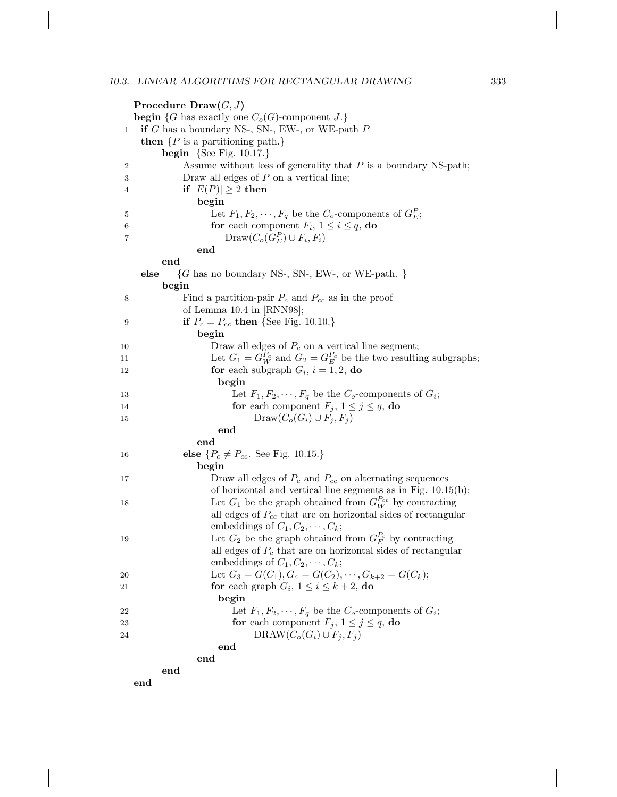|              | Procedure $Draw(G, J)$                                                                     |  |  |
|--------------|--------------------------------------------------------------------------------------------|--|--|
|              | <b>begin</b> {G has exactly one $C_o(G)$ -component J.}                                    |  |  |
| $\mathbf{1}$ | if $G$ has a boundary NS-, SN-, EW-, or WE-path $P$                                        |  |  |
|              | <b>then</b> $\{P \text{ is a partitioning path.}\}$                                        |  |  |
|              | <b>begin</b> {See Fig. 10.17.}                                                             |  |  |
| 2            | Assume without loss of generality that $P$ is a boundary NS-path;                          |  |  |
| 3            | Draw all edges of $P$ on a vertical line;                                                  |  |  |
| 4            | if $ E(P)  \geq 2$ then                                                                    |  |  |
|              | begin                                                                                      |  |  |
| 5            | Let $F_1, F_2, \cdots, F_q$ be the $C_o$ -components of $G_E^P$ ;                          |  |  |
| 6            | for each component $F_i$ , $1 \leq i \leq q$ , do                                          |  |  |
| 7            | $\text{Draw}(C_o(G_F^P) \cup F_i, F_i)$                                                    |  |  |
|              | end                                                                                        |  |  |
|              | end                                                                                        |  |  |
|              | else<br>$\{G \text{ has no boundary NS-}, \text{SN-}, \text{ EW-}, \text{ or WE-path.} \}$ |  |  |
|              | begin                                                                                      |  |  |
| 8            | Find a partition-pair $P_c$ and $P_{cc}$ as in the proof                                   |  |  |
|              | of Lemma $10.4$ in [RNN98];                                                                |  |  |
| 9            | <b>if</b> $P_c = P_{cc}$ then {See Fig. 10.10.}                                            |  |  |
|              | begin                                                                                      |  |  |
| 10           | Draw all edges of $P_c$ on a vertical line segment;                                        |  |  |
| 11           | Let $G_1 = G_W^{P_c}$ and $G_2 = G_E^{P_c}$ be the two resulting subgraphs;                |  |  |
| 12           | for each subgraph $G_i$ , $i = 1, 2$ , do                                                  |  |  |
|              | begin                                                                                      |  |  |
| 13           | Let $F_1, F_2, \cdots, F_q$ be the $C_o$ -components of $G_i$ ;                            |  |  |
| 14           | for each component $F_j$ , $1 \leq j \leq q$ , do                                          |  |  |
| $15\,$       | $Draw(C_o(G_i) \cup F_i, F_i)$                                                             |  |  |
|              | $_{\mathrm{end}}$                                                                          |  |  |
|              | end                                                                                        |  |  |
| 16           | <b>else</b> $\{P_c \neq P_{cc}$ . See Fig. 10.15.}                                         |  |  |
|              | begin                                                                                      |  |  |
| 17           | Draw all edges of $P_c$ and $P_{cc}$ on alternating sequences                              |  |  |
|              | of horizontal and vertical line segments as in Fig. $10.15(b)$ ;                           |  |  |
| 18           | Let $G_1$ be the graph obtained from $G_W^{P_{cc}}$ by contracting                         |  |  |
|              | all edges of $P_{cc}$ that are on horizontal sides of rectangular                          |  |  |
|              | embeddings of $C_1, C_2, \cdots, C_k$ ;                                                    |  |  |
| 19           | Let $G_2$ be the graph obtained from $G_F^{P_c}$ by contracting                            |  |  |
|              | all edges of $P_c$ that are on horizontal sides of rectangular                             |  |  |
|              | embeddings of $C_1, C_2, \cdots, C_k$ ;                                                    |  |  |
| 20           | Let $G_3 = G(C_1), G_4 = G(C_2), \cdots, G_{k+2} = G(C_k);$                                |  |  |
| 21           | for each graph $G_i$ , $1 \leq i \leq k+2$ , do                                            |  |  |
|              | begin                                                                                      |  |  |
| 22           | Let $F_1, F_2, \cdots, F_q$ be the $C_o$ -components of $G_i$ ;                            |  |  |
| 23           | for each component $F_j$ , $1 \leq j \leq q$ , do                                          |  |  |
| 24           | DRAW $(C_o(G_i) \cup F_i, F_i)$                                                            |  |  |
|              | end                                                                                        |  |  |
| end          |                                                                                            |  |  |
|              | end                                                                                        |  |  |
|              | end                                                                                        |  |  |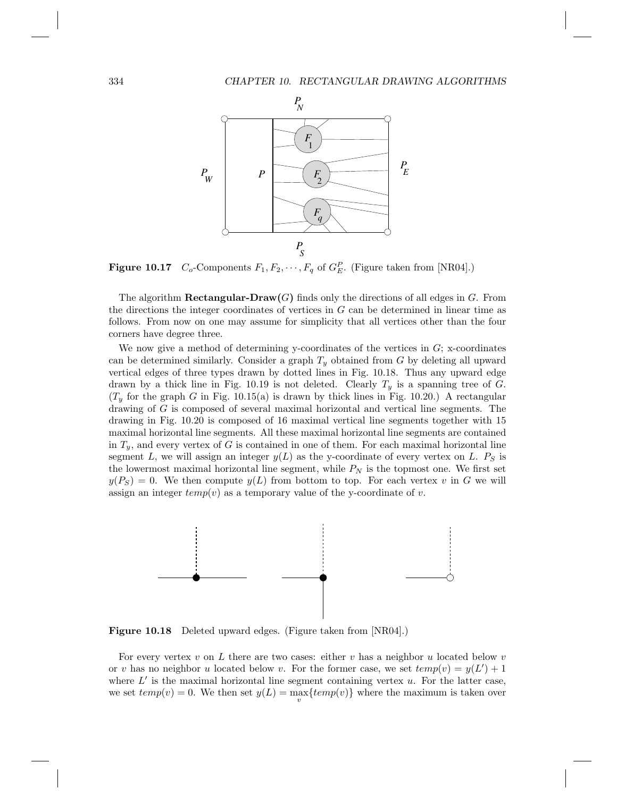

**Figure 10.17**  $C_o$ -Components  $F_1, F_2, \dots, F_q$  of  $G_E^P$ . (Figure taken from [NR04].)

The algorithm **Rectangular-Draw** $(G)$  finds only the directions of all edges in G. From the directions the integer coordinates of vertices in G can be determined in linear time as follows. From now on one may assume for simplicity that all vertices other than the four corners have degree three.

We now give a method of determining y-coordinates of the vertices in  $G$ ; x-coordinates can be determined similarly. Consider a graph  $T_y$  obtained from G by deleting all upward vertical edges of three types drawn by dotted lines in Fig. 10.18. Thus any upward edge drawn by a thick line in Fig. 10.19 is not deleted. Clearly  $T_y$  is a spanning tree of G.  $(T_y$  for the graph G in Fig. 10.15(a) is drawn by thick lines in Fig. 10.20.) A rectangular drawing of G is composed of several maximal horizontal and vertical line segments. The drawing in Fig. 10.20 is composed of 16 maximal vertical line segments together with 15 maximal horizontal line segments. All these maximal horizontal line segments are contained in  $T_y$ , and every vertex of G is contained in one of them. For each maximal horizontal line segment L, we will assign an integer  $y(L)$  as the y-coordinate of every vertex on L.  $P<sub>S</sub>$  is the lowermost maximal horizontal line segment, while  $P_N$  is the topmost one. We first set  $y(P<sub>S</sub>) = 0$ . We then compute  $y(L)$  from bottom to top. For each vertex v in G we will assign an integer  $temp(v)$  as a temporary value of the y-coordinate of v.



Figure 10.18 Deleted upward edges. (Figure taken from [NR04].)

For every vertex v on L there are two cases: either v has a neighbor u located below v or v has no neighbor u located below v. For the former case, we set  $temp(v) = y(L') + 1$ where  $L'$  is the maximal horizontal line segment containing vertex  $u$ . For the latter case, we set  $temp(v) = 0$ . We then set  $y(L) = \max_{v} \{temp(v)\}$  where the maximum is taken over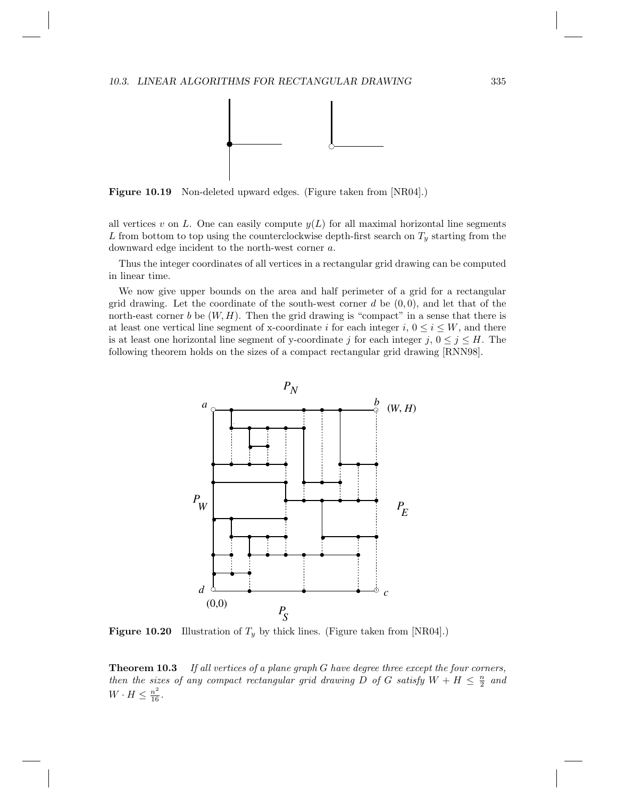

Figure 10.19 Non-deleted upward edges. (Figure taken from [NR04].)

all vertices v on L. One can easily compute  $y(L)$  for all maximal horizontal line segments L from bottom to top using the counterclockwise depth-first search on  $T_y$  starting from the downward edge incident to the north-west corner a.

Thus the integer coordinates of all vertices in a rectangular grid drawing can be computed in linear time.

We now give upper bounds on the area and half perimeter of a grid for a rectangular grid drawing. Let the coordinate of the south-west corner  $d$  be  $(0, 0)$ , and let that of the north-east corner b be  $(W, H)$ . Then the grid drawing is "compact" in a sense that there is at least one vertical line segment of x-coordinate i for each integer i,  $0 \le i \le W$ , and there is at least one horizontal line segment of y-coordinate j for each integer  $j, 0 \le j \le H$ . The following theorem holds on the sizes of a compact rectangular grid drawing [RNN98].



**Figure 10.20** Illustration of  $T_y$  by thick lines. (Figure taken from [NR04].)

**Theorem 10.3** If all vertices of a plane graph G have degree three except the four corners, then the sizes of any compact rectangular grid drawing D of G satisfy  $W + H \leq \frac{n}{2}$  and  $W \cdot H \leq \frac{n^2}{16}.$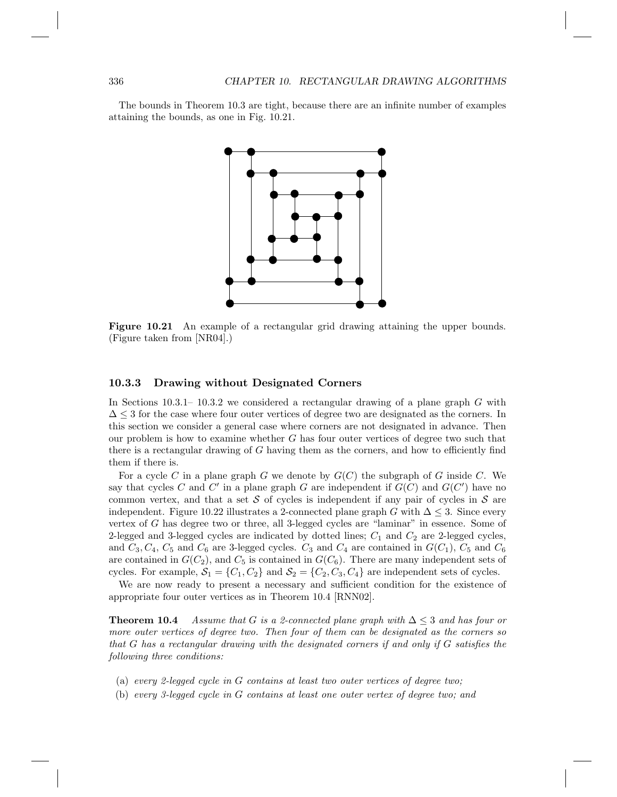The bounds in Theorem 10.3 are tight, because there are an infinite number of examples attaining the bounds, as one in Fig. 10.21.



Figure 10.21 An example of a rectangular grid drawing attaining the upper bounds. (Figure taken from [NR04].)

#### 10.3.3 Drawing without Designated Corners

In Sections  $10.3.1-10.3.2$  we considered a rectangular drawing of a plane graph G with  $\Delta$  < 3 for the case where four outer vertices of degree two are designated as the corners. In this section we consider a general case where corners are not designated in advance. Then our problem is how to examine whether  $G$  has four outer vertices of degree two such that there is a rectangular drawing of G having them as the corners, and how to efficiently find them if there is.

For a cycle C in a plane graph G we denote by  $G(C)$  the subgraph of G inside C. We say that cycles C and C' in a plane graph G are independent if  $G(C)$  and  $G(C')$  have no common vertex, and that a set S of cycles is independent if any pair of cycles in S are independent. Figure 10.22 illustrates a 2-connected plane graph G with  $\Delta \leq 3$ . Since every vertex of G has degree two or three, all 3-legged cycles are "laminar" in essence. Some of 2-legged and 3-legged cycles are indicated by dotted lines;  $C_1$  and  $C_2$  are 2-legged cycles, and  $C_3, C_4, C_5$  and  $C_6$  are 3-legged cycles.  $C_3$  and  $C_4$  are contained in  $G(C_1)$ ,  $C_5$  and  $C_6$ are contained in  $G(C_2)$ , and  $C_5$  is contained in  $G(C_6)$ . There are many independent sets of cycles. For example,  $S_1 = \{C_1, C_2\}$  and  $S_2 = \{C_2, C_3, C_4\}$  are independent sets of cycles.

We are now ready to present a necessary and sufficient condition for the existence of appropriate four outer vertices as in Theorem 10.4 [RNN02].

**Theorem 10.4** Assume that G is a 2-connected plane graph with  $\Delta \leq 3$  and has four or more outer vertices of degree two. Then four of them can be designated as the corners so that G has a rectangular drawing with the designated corners if and only if G satisfies the following three conditions:

- (a) every 2-legged cycle in G contains at least two outer vertices of degree two;
- (b) every 3-legged cycle in G contains at least one outer vertex of degree two; and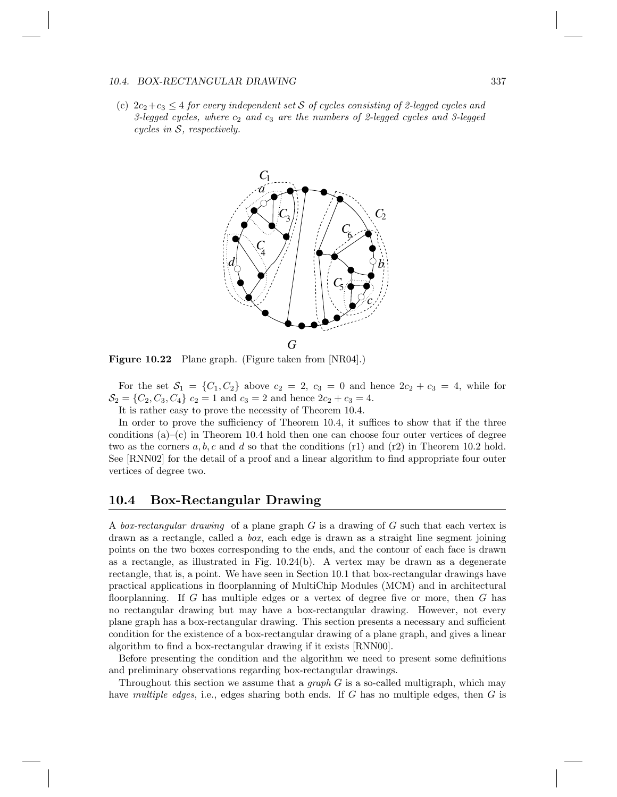#### 10.4. BOX-RECTANGULAR DRAWING 337

(c)  $2c_2+c_3 \leq 4$  for every independent set S of cycles consisting of 2-legged cycles and 3-legged cycles, where  $c_2$  and  $c_3$  are the numbers of 2-legged cycles and 3-legged cycles in S, respectively.



Figure 10.22 Plane graph. (Figure taken from [NR04].)

For the set  $S_1 = \{C_1, C_2\}$  above  $c_2 = 2, c_3 = 0$  and hence  $2c_2 + c_3 = 4$ , while for  $\mathcal{S}_2 = \{C_2, C_3, C_4\}$   $c_2 = 1$  and  $c_3 = 2$  and hence  $2c_2 + c_3 = 4$ .

It is rather easy to prove the necessity of Theorem 10.4.

In order to prove the sufficiency of Theorem 10.4, it suffices to show that if the three conditions  $(a)$ –(c) in Theorem 10.4 hold then one can choose four outer vertices of degree two as the corners  $a, b, c$  and d so that the conditions (r1) and (r2) in Theorem 10.2 hold. See [RNN02] for the detail of a proof and a linear algorithm to find appropriate four outer vertices of degree two.

### 10.4 Box-Rectangular Drawing

A box-rectangular drawing of a plane graph G is a drawing of G such that each vertex is drawn as a rectangle, called a box, each edge is drawn as a straight line segment joining points on the two boxes corresponding to the ends, and the contour of each face is drawn as a rectangle, as illustrated in Fig. 10.24(b). A vertex may be drawn as a degenerate rectangle, that is, a point. We have seen in Section 10.1 that box-rectangular drawings have practical applications in floorplanning of MultiChip Modules (MCM) and in architectural floorplanning. If G has multiple edges or a vertex of degree five or more, then G has no rectangular drawing but may have a box-rectangular drawing. However, not every plane graph has a box-rectangular drawing. This section presents a necessary and sufficient condition for the existence of a box-rectangular drawing of a plane graph, and gives a linear algorithm to find a box-rectangular drawing if it exists [RNN00].

Before presenting the condition and the algorithm we need to present some definitions and preliminary observations regarding box-rectangular drawings.

Throughout this section we assume that a *graph*  $G$  is a so-called multigraph, which may have multiple edges, i.e., edges sharing both ends. If G has no multiple edges, then G is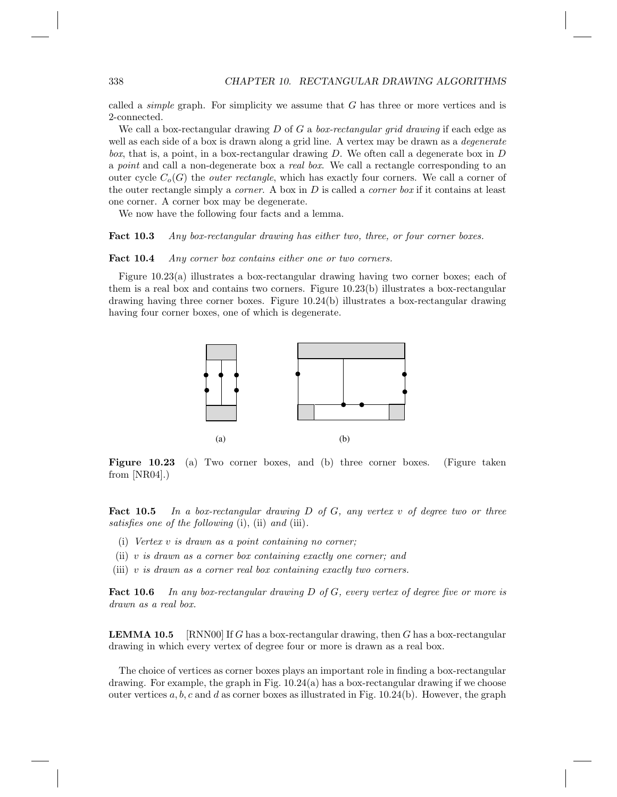called a *simple* graph. For simplicity we assume that  $G$  has three or more vertices and is 2-connected.

We call a box-rectangular drawing D of G a box-rectangular grid drawing if each edge as well as each side of a box is drawn along a grid line. A vertex may be drawn as a *degenerate* box, that is, a point, in a box-rectangular drawing  $D$ . We often call a degenerate box in  $D$ a point and call a non-degenerate box a real box. We call a rectangle corresponding to an outer cycle  $C_o(G)$  the *outer rectangle*, which has exactly four corners. We call a corner of the outer rectangle simply a *corner*. A box in  $D$  is called a *corner box* if it contains at least one corner. A corner box may be degenerate.

We now have the following four facts and a lemma.

Fact 10.3 Any box-rectangular drawing has either two, three, or four corner boxes.

#### Fact 10.4 Any corner box contains either one or two corners.

Figure 10.23(a) illustrates a box-rectangular drawing having two corner boxes; each of them is a real box and contains two corners. Figure 10.23(b) illustrates a box-rectangular drawing having three corner boxes. Figure 10.24(b) illustrates a box-rectangular drawing having four corner boxes, one of which is degenerate.



Figure 10.23 (a) Two corner boxes, and (b) three corner boxes. (Figure taken from [NR04].)

**Fact 10.5** In a box-rectangular drawing  $D$  of  $G$ , any vertex v of degree two or three satisfies one of the following (i), (ii) and (iii).

- (i) Vertex v is drawn as a point containing no corner;
- (ii) v is drawn as a corner box containing exactly one corner; and
- (iii) v is drawn as a corner real box containing exactly two corners.

Fact 10.6 In any box-rectangular drawing D of G, every vertex of degree five or more is drawn as a real box.

**LEMMA 10.5** [RNN00] If G has a box-rectangular drawing, then G has a box-rectangular drawing in which every vertex of degree four or more is drawn as a real box.

The choice of vertices as corner boxes plays an important role in finding a box-rectangular drawing. For example, the graph in Fig.  $10.24(a)$  has a box-rectangular drawing if we choose outer vertices  $a, b, c$  and d as corner boxes as illustrated in Fig. 10.24(b). However, the graph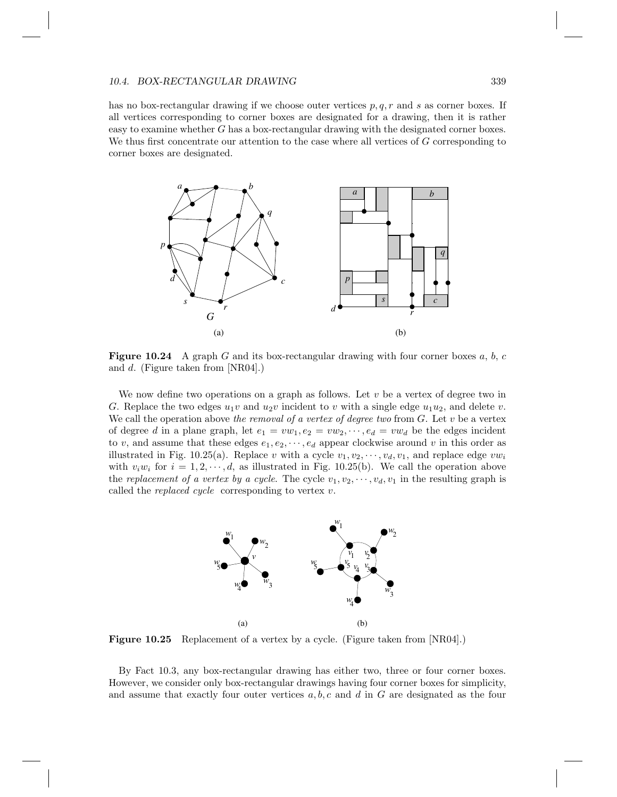has no box-rectangular drawing if we choose outer vertices  $p, q, r$  and s as corner boxes. If all vertices corresponding to corner boxes are designated for a drawing, then it is rather easy to examine whether G has a box-rectangular drawing with the designated corner boxes. We thus first concentrate our attention to the case where all vertices of G corresponding to corner boxes are designated.



**Figure 10.24** A graph G and its box-rectangular drawing with four corner boxes  $a, b, c$ and d. (Figure taken from [NR04].)

We now define two operations on a graph as follows. Let  $v$  be a vertex of degree two in G. Replace the two edges  $u_1v$  and  $u_2v$  incident to v with a single edge  $u_1u_2$ , and delete v. We call the operation above the removal of a vertex of degree two from  $G$ . Let v be a vertex of degree d in a plane graph, let  $e_1 = vw_1, e_2 = vw_2, \dots, e_d = vw_d$  be the edges incident to v, and assume that these edges  $e_1, e_2, \dots, e_d$  appear clockwise around v in this order as illustrated in Fig. 10.25(a). Replace v with a cycle  $v_1, v_2, \dots, v_d, v_1$ , and replace edge  $vw_i$ with  $v_iw_i$  for  $i = 1, 2, \dots, d$ , as illustrated in Fig. 10.25(b). We call the operation above the replacement of a vertex by a cycle. The cycle  $v_1, v_2, \dots, v_d, v_1$  in the resulting graph is called the *replaced cycle* corresponding to vertex  $v$ .



**Figure 10.25** Replacement of a vertex by a cycle. (Figure taken from  $\text{[NR04]}.$ )

By Fact 10.3, any box-rectangular drawing has either two, three or four corner boxes. However, we consider only box-rectangular drawings having four corner boxes for simplicity, and assume that exactly four outer vertices  $a, b, c$  and d in G are designated as the four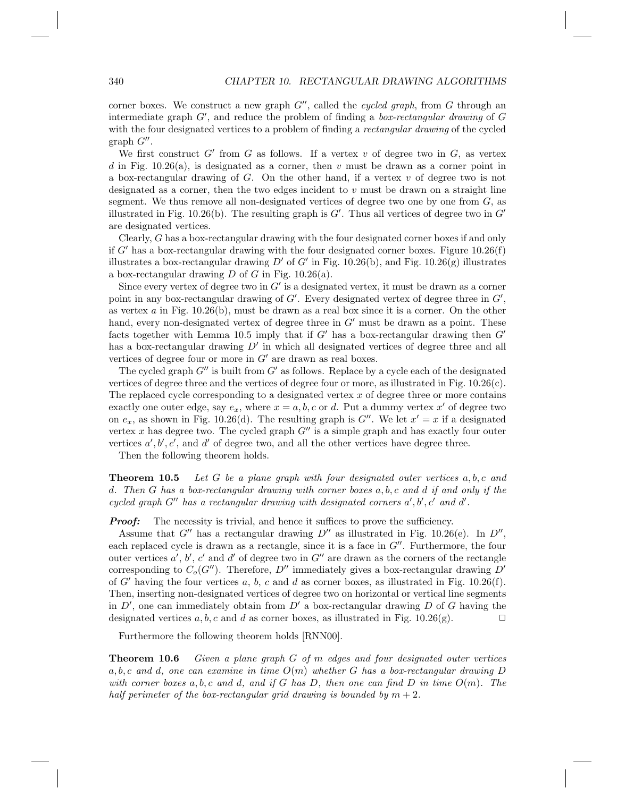corner boxes. We construct a new graph  $G''$ , called the *cycled graph*, from G through an intermediate graph  $G'$ , and reduce the problem of finding a *box-rectangular drawing* of  $G$ with the four designated vertices to a problem of finding a *rectangular drawing* of the cycled  $graph G''$ .

We first construct  $G'$  from  $G$  as follows. If a vertex  $v$  of degree two in  $G$ , as vertex d in Fig. 10.26(a), is designated as a corner, then  $v$  must be drawn as a corner point in a box-rectangular drawing of  $G$ . On the other hand, if a vertex  $v$  of degree two is not designated as a corner, then the two edges incident to v must be drawn on a straight line segment. We thus remove all non-designated vertices of degree two one by one from  $G$ , as illustrated in Fig. 10.26(b). The resulting graph is  $G'$ . Thus all vertices of degree two in  $G'$ are designated vertices.

Clearly, G has a box-rectangular drawing with the four designated corner boxes if and only if G' has a box-rectangular drawing with the four designated corner boxes. Figure  $10.26(f)$ illustrates a box-rectangular drawing D' of G' in Fig. 10.26(b), and Fig. 10.26(g) illustrates a box-rectangular drawing  $D$  of  $G$  in Fig. 10.26(a).

Since every vertex of degree two in  $G'$  is a designated vertex, it must be drawn as a corner point in any box-rectangular drawing of  $G'$ . Every designated vertex of degree three in  $G'$ , as vertex  $a$  in Fig. 10.26(b), must be drawn as a real box since it is a corner. On the other hand, every non-designated vertex of degree three in  $G'$  must be drawn as a point. These facts together with Lemma 10.5 imply that if  $G'$  has a box-rectangular drawing then  $G'$ has a box-rectangular drawing  $D'$  in which all designated vertices of degree three and all vertices of degree four or more in  $G'$  are drawn as real boxes.

The cycled graph  $G''$  is built from  $G'$  as follows. Replace by a cycle each of the designated vertices of degree three and the vertices of degree four or more, as illustrated in Fig. 10.26(c). The replaced cycle corresponding to a designated vertex  $x$  of degree three or more contains exactly one outer edge, say  $e_x$ , where  $x = a, b, c$  or d. Put a dummy vertex  $x'$  of degree two on  $e_x$ , as shown in Fig. 10.26(d). The resulting graph is  $G''$ . We let  $x' = x$  if a designated vertex x has degree two. The cycled graph  $G''$  is a simple graph and has exactly four outer vertices  $a', b', c'$ , and  $d'$  of degree two, and all the other vertices have degree three.

Then the following theorem holds.

**Theorem 10.5** Let G be a plane graph with four designated outer vertices  $a, b, c$  and d. Then G has a box-rectangular drawing with corner boxes a, b, c and d if and only if the cycled graph  $G''$  has a rectangular drawing with designated corners  $a', b', c'$  and  $d'$ .

**Proof:** The necessity is trivial, and hence it suffices to prove the sufficiency.

Assume that G'' has a rectangular drawing  $D''$  as illustrated in Fig. 10.26(e). In  $D''$ , each replaced cycle is drawn as a rectangle, since it is a face in  $G''$ . Furthermore, the four outer vertices  $a', b', c'$  and  $d'$  of degree two in  $G''$  are drawn as the corners of the rectangle corresponding to  $C_o(G'')$ . Therefore, D' immediately gives a box-rectangular drawing D' of G' having the four vertices a, b, c and d as corner boxes, as illustrated in Fig. 10.26(f). Then, inserting non-designated vertices of degree two on horizontal or vertical line segments in  $D'$ , one can immediately obtain from  $D'$  a box-rectangular drawing  $D$  of  $G$  having the designated vertices a, b, c and d as corner boxes, as illustrated in Fig. 10.26(g).  $\Box$ 

Furthermore the following theorem holds [RNN00].

**Theorem 10.6** Given a plane graph  $G$  of  $m$  edges and four designated outer vertices a, b, c and d, one can examine in time  $O(m)$  whether G has a box-rectangular drawing D with corner boxes a, b, c and d, and if G has D, then one can find D in time  $O(m)$ . The half perimeter of the box-rectangular grid drawing is bounded by  $m + 2$ .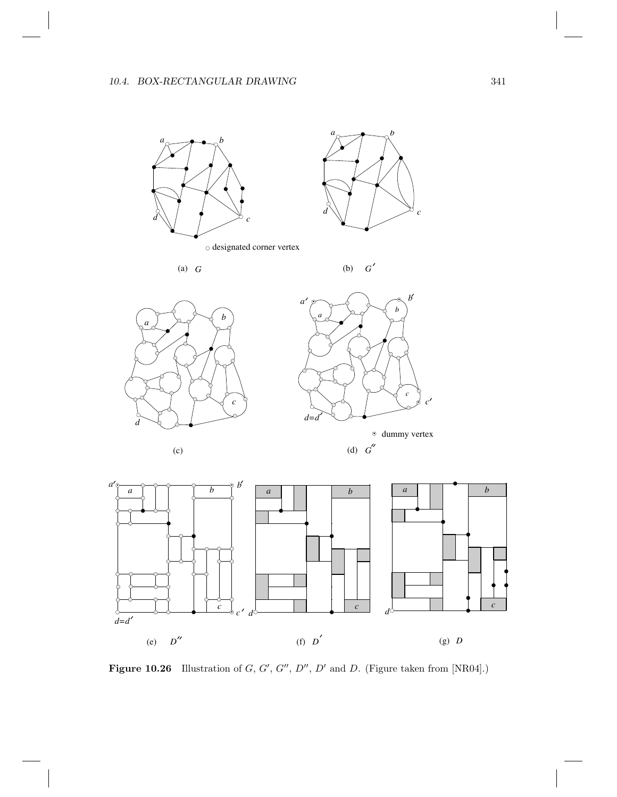

Figure 10.26 Illustration of  $G, G', G'', D'', D'$  and D. (Figure taken from [NR04].)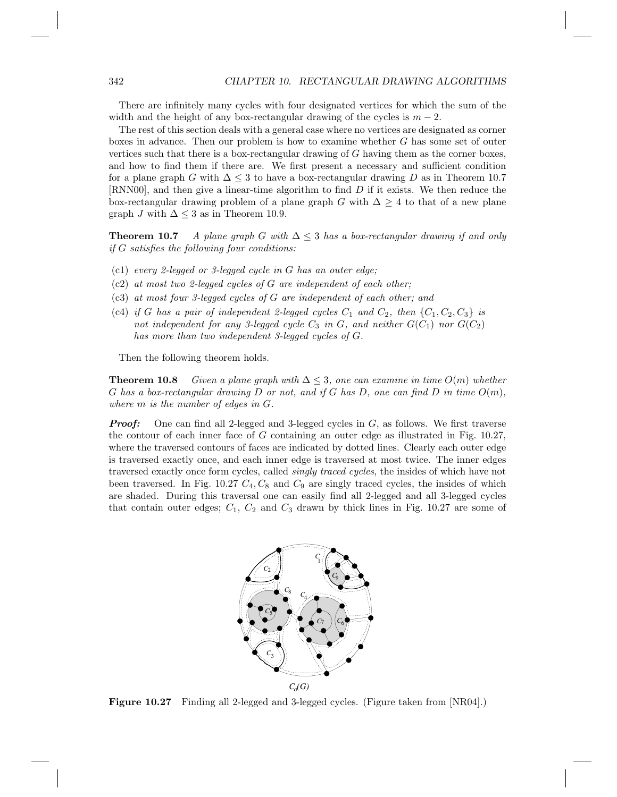There are infinitely many cycles with four designated vertices for which the sum of the width and the height of any box-rectangular drawing of the cycles is  $m-2$ .

The rest of this section deals with a general case where no vertices are designated as corner boxes in advance. Then our problem is how to examine whether G has some set of outer vertices such that there is a box-rectangular drawing of G having them as the corner boxes, and how to find them if there are. We first present a necessary and sufficient condition for a plane graph G with  $\Delta \leq 3$  to have a box-rectangular drawing D as in Theorem 10.7 [RNN00], and then give a linear-time algorithm to find D if it exists. We then reduce the box-rectangular drawing problem of a plane graph G with  $\Delta \geq 4$  to that of a new plane graph J with  $\Delta \leq 3$  as in Theorem 10.9.

**Theorem 10.7** A plane graph G with  $\Delta \leq 3$  has a box-rectangular drawing if and only if G satisfies the following four conditions:

- (c1) every 2-legged or 3-legged cycle in G has an outer edge;
- $(c2)$  at most two 2-legged cycles of G are independent of each other;
- (c3) at most four 3-legged cycles of G are independent of each other; and
- (c4) if G has a pair of independent 2-legged cycles  $C_1$  and  $C_2$ , then  $\{C_1, C_2, C_3\}$  is not independent for any 3-legged cycle  $C_3$  in  $G$ , and neither  $G(C_1)$  nor  $G(C_2)$ has more than two independent 3-legged cycles of G.

Then the following theorem holds.

**Theorem 10.8** Given a plane graph with  $\Delta \leq 3$ , one can examine in time  $O(m)$  whether G has a box-rectangular drawing D or not, and if G has D, one can find D in time  $O(m)$ , where m is the number of edges in G.

**Proof:** One can find all 2-legged and 3-legged cycles in  $G$ , as follows. We first traverse the contour of each inner face of  $G$  containing an outer edge as illustrated in Fig. 10.27, where the traversed contours of faces are indicated by dotted lines. Clearly each outer edge is traversed exactly once, and each inner edge is traversed at most twice. The inner edges traversed exactly once form cycles, called *singly traced cycles*, the insides of which have not been traversed. In Fig. 10.27  $C_4$ ,  $C_8$  and  $C_9$  are singly traced cycles, the insides of which are shaded. During this traversal one can easily find all 2-legged and all 3-legged cycles that contain outer edges;  $C_1$ ,  $C_2$  and  $C_3$  drawn by thick lines in Fig. 10.27 are some of



Figure 10.27 Finding all 2-legged and 3-legged cycles. (Figure taken from [NR04].)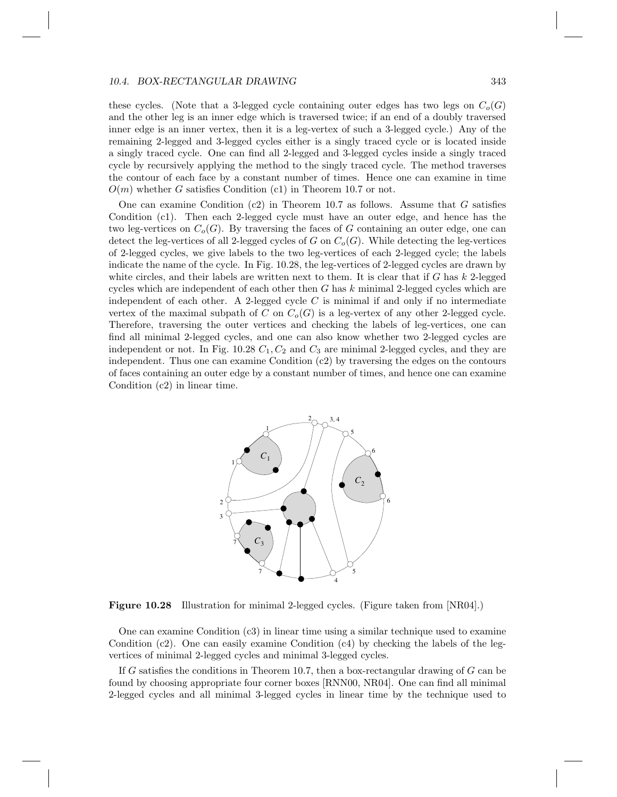#### 10.4. BOX-RECTANGULAR DRAWING 343

these cycles. (Note that a 3-legged cycle containing outer edges has two legs on  $C_o(G)$ and the other leg is an inner edge which is traversed twice; if an end of a doubly traversed inner edge is an inner vertex, then it is a leg-vertex of such a 3-legged cycle.) Any of the remaining 2-legged and 3-legged cycles either is a singly traced cycle or is located inside a singly traced cycle. One can find all 2-legged and 3-legged cycles inside a singly traced cycle by recursively applying the method to the singly traced cycle. The method traverses the contour of each face by a constant number of times. Hence one can examine in time  $O(m)$  whether G satisfies Condition (c1) in Theorem 10.7 or not.

One can examine Condition  $(c2)$  in Theorem 10.7 as follows. Assume that G satisfies Condition (c1). Then each 2-legged cycle must have an outer edge, and hence has the two leg-vertices on  $C_o(G)$ . By traversing the faces of G containing an outer edge, one can detect the leg-vertices of all 2-legged cycles of G on  $C_o(G)$ . While detecting the leg-vertices of 2-legged cycles, we give labels to the two leg-vertices of each 2-legged cycle; the labels indicate the name of the cycle. In Fig. 10.28, the leg-vertices of 2-legged cycles are drawn by white circles, and their labels are written next to them. It is clear that if  $G$  has  $k$  2-legged cycles which are independent of each other then  $G$  has  $k$  minimal 2-legged cycles which are independent of each other. A 2-legged cycle  $C$  is minimal if and only if no intermediate vertex of the maximal subpath of C on  $C_o(G)$  is a leg-vertex of any other 2-legged cycle. Therefore, traversing the outer vertices and checking the labels of leg-vertices, one can find all minimal 2-legged cycles, and one can also know whether two 2-legged cycles are independent or not. In Fig. 10.28  $C_1$ ,  $C_2$  and  $C_3$  are minimal 2-legged cycles, and they are independent. Thus one can examine Condition (c2) by traversing the edges on the contours of faces containing an outer edge by a constant number of times, and hence one can examine Condition (c2) in linear time.



Figure 10.28 Illustration for minimal 2-legged cycles. (Figure taken from [NR04].)

One can examine Condition (c3) in linear time using a similar technique used to examine Condition (c2). One can easily examine Condition  $(c4)$  by checking the labels of the legvertices of minimal 2-legged cycles and minimal 3-legged cycles.

If G satisfies the conditions in Theorem 10.7, then a box-rectangular drawing of  $G$  can be found by choosing appropriate four corner boxes [RNN00, NR04]. One can find all minimal 2-legged cycles and all minimal 3-legged cycles in linear time by the technique used to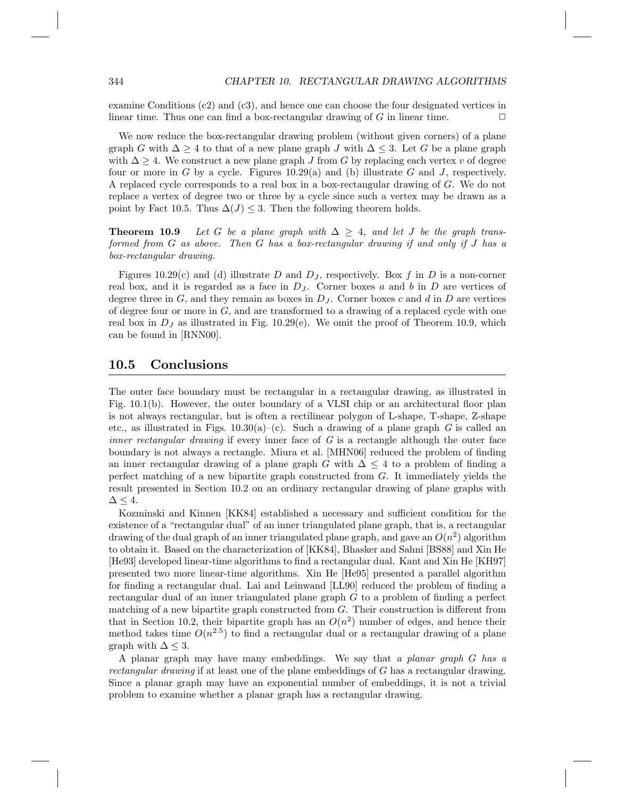examine Conditions (c2) and (c3), and hence one can choose the four designated vertices in linear time. Thus one can find a box-rectangular drawing of G in linear time.  $\Box$ 

We now reduce the box-rectangular drawing problem (without given corners) of a plane graph G with  $\Delta \geq 4$  to that of a new plane graph J with  $\Delta \leq 3$ . Let G be a plane graph with  $\Delta \geq 4$ . We construct a new plane graph J from G by replacing each vertex v of degree four or more in G by a cycle. Figures 10.29(a) and (b) illustrate G and J, respectively. A replaced cycle corresponds to a real box in a box-rectangular drawing of G. We do not replace a vertex of degree two or three by a cycle since such a vertex may be drawn as a point by Fact 10.5. Thus  $\Delta(J) \leq 3$ . Then the following theorem holds.

**Theorem 10.9** Let G be a plane graph with  $\Delta \geq 4$ , and let J be the graph transformed from G as above. Then G has a box-rectangular drawing if and only if J has a box-rectangular drawing.

Figures 10.29(c) and (d) illustrate D and  $D<sub>J</sub>$ , respectively. Box f in D is a non-corner real box, and it is regarded as a face in  $D_J$ . Corner boxes a and b in D are vertices of degree three in  $G$ , and they remain as boxes in  $D_J$ . Corner boxes c and d in  $D$  are vertices of degree four or more in  $G$ , and are transformed to a drawing of a replaced cycle with one real box in  $D_J$  as illustrated in Fig. 10.29(e). We omit the proof of Theorem 10.9, which can be found in [RNN00].

#### 10.5 Conclusions

The outer face boundary must be rectangular in a rectangular drawing, as illustrated in Fig. 10.1(b). However, the outer boundary of a VLSI chip or an architectural floor plan is not always rectangular, but is often a rectilinear polygon of L-shape, T-shape, Z-shape etc., as illustrated in Figs.  $10.30(a)$ –(c). Such a drawing of a plane graph G is called an *inner rectangular drawing* if every inner face of  $G$  is a rectangle although the outer face boundary is not always a rectangle. Miura et al. [MHN06] reduced the problem of finding an inner rectangular drawing of a plane graph G with  $\Delta \leq 4$  to a problem of finding a perfect matching of a new bipartite graph constructed from G. It immediately yields the result presented in Section 10.2 on an ordinary rectangular drawing of plane graphs with  $\Delta \leq 4$ .

Kozminski and Kinnen [KK84] established a necessary and sufficient condition for the existence of a "rectangular dual" of an inner triangulated plane graph, that is, a rectangular drawing of the dual graph of an inner triangulated plane graph, and gave an  $O(n^2)$  algorithm to obtain it. Based on the characterization of [KK84], Bhasker and Sahni [BS88] and Xin He [He93] developed linear-time algorithms to find a rectangular dual. Kant and Xin He [KH97] presented two more linear-time algorithms. Xin He [He95] presented a parallel algorithm for finding a rectangular dual. Lai and Leinwand [LL90] reduced the problem of finding a rectangular dual of an inner triangulated plane graph  $G$  to a problem of finding a perfect matching of a new bipartite graph constructed from G. Their construction is different from that in Section 10.2, their bipartite graph has an  $O(n^2)$  number of edges, and hence their method takes time  $O(n^{2.5})$  to find a rectangular dual or a rectangular drawing of a plane graph with  $\Delta \leq 3$ .

A planar graph may have many embeddings. We say that a planar graph  $G$  has a rectangular drawing if at least one of the plane embeddings of G has a rectangular drawing. Since a planar graph may have an exponential number of embeddings, it is not a trivial problem to examine whether a planar graph has a rectangular drawing.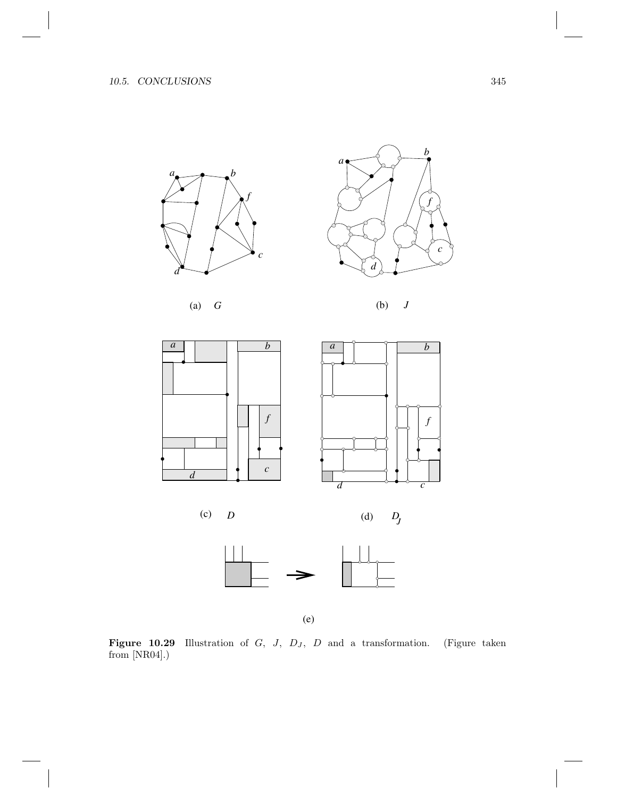















(e)

**Figure 10.29** Illustration of G, J,  $D<sub>J</sub>$ , D and a transformation. (Figure taken from [NR04].)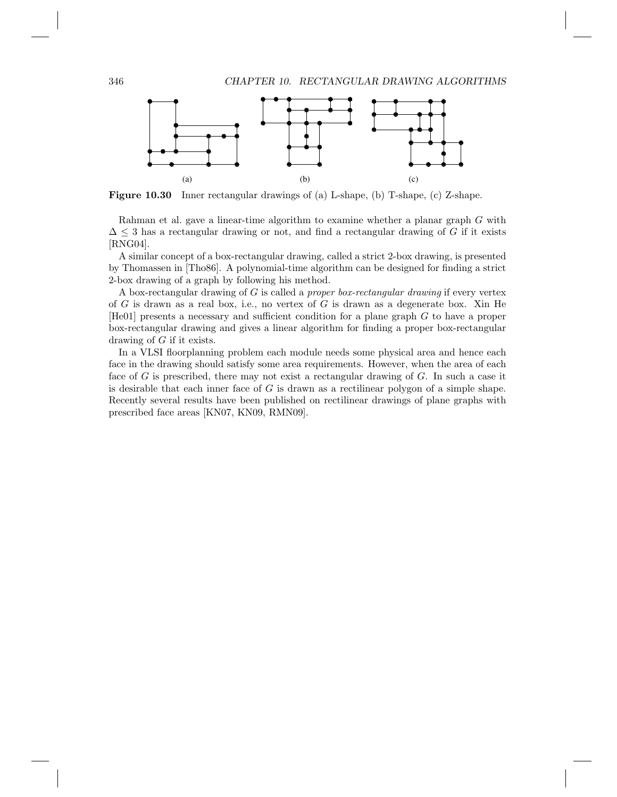

Figure 10.30 Inner rectangular drawings of (a) L-shape, (b) T-shape, (c) Z-shape.

Rahman et al. gave a linear-time algorithm to examine whether a planar graph G with  $\Delta \leq 3$  has a rectangular drawing or not, and find a rectangular drawing of G if it exists [RNG04].

A similar concept of a box-rectangular drawing, called a strict 2-box drawing, is presented by Thomassen in [Tho86]. A polynomial-time algorithm can be designed for finding a strict 2-box drawing of a graph by following his method.

A box-rectangular drawing of  $G$  is called a *proper box-rectangular drawing* if every vertex of G is drawn as a real box, i.e., no vertex of G is drawn as a degenerate box. Xin He [He01] presents a necessary and sufficient condition for a plane graph G to have a proper box-rectangular drawing and gives a linear algorithm for finding a proper box-rectangular drawing of G if it exists.

In a VLSI floorplanning problem each module needs some physical area and hence each face in the drawing should satisfy some area requirements. However, when the area of each face of G is prescribed, there may not exist a rectangular drawing of G. In such a case it is desirable that each inner face of  $G$  is drawn as a rectilinear polygon of a simple shape. Recently several results have been published on rectilinear drawings of plane graphs with prescribed face areas [KN07, KN09, RMN09].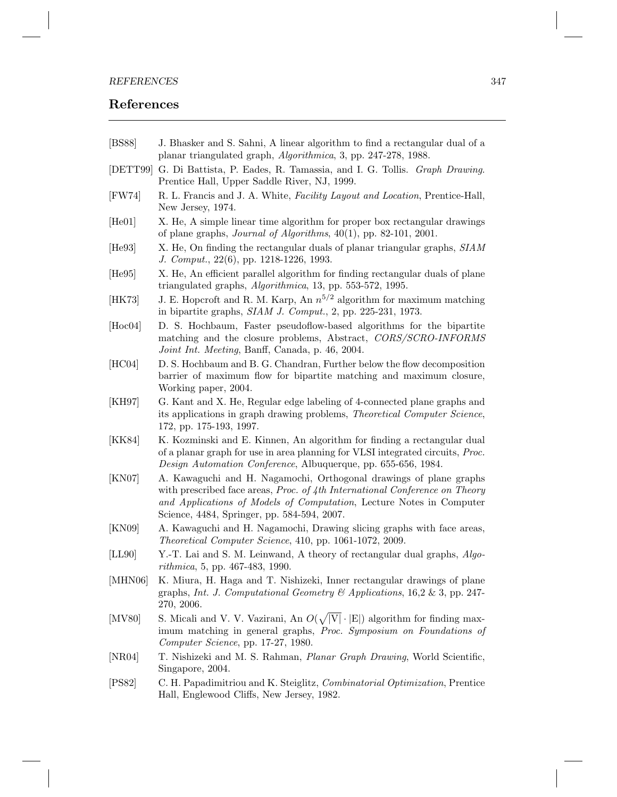### References

- [BS88] J. Bhasker and S. Sahni, A linear algorithm to find a rectangular dual of a planar triangulated graph, Algorithmica, 3, pp. 247-278, 1988.
- [DETT99] G. Di Battista, P. Eades, R. Tamassia, and I. G. Tollis. Graph Drawing. Prentice Hall, Upper Saddle River, NJ, 1999.
- [FW74] R. L. Francis and J. A. White, Facility Layout and Location, Prentice-Hall, New Jersey, 1974.
- [He01] X. He, A simple linear time algorithm for proper box rectangular drawings of plane graphs, Journal of Algorithms, 40(1), pp. 82-101, 2001.
- [He93] X. He, On finding the rectangular duals of planar triangular graphs, SIAM J. Comput., 22(6), pp. 1218-1226, 1993.
- [He95] X. He, An efficient parallel algorithm for finding rectangular duals of plane triangulated graphs, Algorithmica, 13, pp. 553-572, 1995.
- [HK73] J. E. Hopcroft and R. M. Karp, An  $n^{5/2}$  algorithm for maximum matching in bipartite graphs, SIAM J. Comput., 2, pp. 225-231, 1973.
- [Hoc04] D. S. Hochbaum, Faster pseudoflow-based algorithms for the bipartite matching and the closure problems, Abstract, CORS/SCRO-INFORMS Joint Int. Meeting, Banff, Canada, p. 46, 2004.
- [HC04] D. S. Hochbaum and B. G. Chandran, Further below the flow decomposition barrier of maximum flow for bipartite matching and maximum closure, Working paper, 2004.
- [KH97] G. Kant and X. He, Regular edge labeling of 4-connected plane graphs and its applications in graph drawing problems, Theoretical Computer Science, 172, pp. 175-193, 1997.
- [KK84] K. Kozminski and E. Kinnen, An algorithm for finding a rectangular dual of a planar graph for use in area planning for VLSI integrated circuits, Proc. Design Automation Conference, Albuquerque, pp. 655-656, 1984.
- [KN07] A. Kawaguchi and H. Nagamochi, Orthogonal drawings of plane graphs with prescribed face areas, *Proc. of 4th International Conference on Theory* and Applications of Models of Computation, Lecture Notes in Computer Science, 4484, Springer, pp. 584-594, 2007.
- [KN09] A. Kawaguchi and H. Nagamochi, Drawing slicing graphs with face areas, Theoretical Computer Science, 410, pp. 1061-1072, 2009.
- [LL90] Y.-T. Lai and S. M. Leinwand, A theory of rectangular dual graphs, Algorithmica, 5, pp. 467-483, 1990.
- [MHN06] K. Miura, H. Haga and T. Nishizeki, Inner rectangular drawings of plane graphs, *Int. J. Computational Geometry*  $\mathcal{O}(A)$  *Applications*, 16,2 & 3, pp. 247-270, 2006.
- [MV80] S. Micali and V. V. Vazirani, An  $O(\sqrt{|V|} \cdot |E|)$  algorithm for finding maximum matching in general graphs, Proc. Symposium on Foundations of Computer Science, pp. 17-27, 1980.
- [NR04] T. Nishizeki and M. S. Rahman, Planar Graph Drawing, World Scientific, Singapore, 2004.
- [PS82] C. H. Papadimitriou and K. Steiglitz, Combinatorial Optimization, Prentice Hall, Englewood Cliffs, New Jersey, 1982.